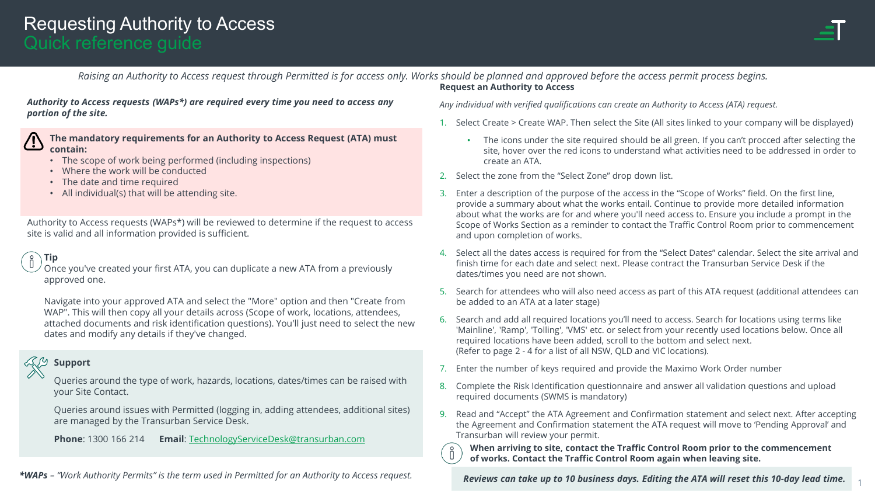

#### **Request an Authority to Access** *Raising an Authority to Access request through Permitted is for access only. Works should be planned and approved before the access permit process begins.*

*Authority to Access requests (WAPs\*) are required every time you need to access any portion of the site.* 

**The mandatory requirements for an Authority to Access Request (ATA) must contain:**

- The scope of work being performed (including inspections)
- Where the work will be conducted
- The date and time required
- All individual(s) that will be attending site.

Authority to Access requests (WAPs\*) will be reviewed to determine if the request to access site is valid and all information provided is sufficient.

#### **Tip**

Once you've created your first ATA, you can duplicate a new ATA from a previously approved one.

Navigate into your approved ATA and select the "More" option and then "Create from WAP". This will then copy all your details across (Scope of work, locations, attendees, attached documents and risk identification questions). You'll just need to select the new dates and modify any details if they've changed.

#### **Support**

Queries around the type of work, hazards, locations, dates/times can be raised with your Site Contact.

Queries around issues with Permitted (logging in, adding attendees, additional sites) are managed by the Transurban Service Desk.

**Phone**: 1300 166 214 **Email**: [TechnologyServiceDesk@transurban.com](mailto:TechnologyServiceDesk@transurban.com)

*\*WAPs – "Work Authority Permits" is the term used in Permitted for an Authority to Access request.* 

*Any individual with verified qualifications can create an Authority to Access (ATA) request.*

- 1. Select Create > Create WAP. Then select the Site (All sites linked to your company will be displayed)
	- The icons under the site required should be all green. If you can't procced after selecting the site, hover over the red icons to understand what activities need to be addressed in order to create an ATA.
- 2. Select the zone from the "Select Zone" drop down list.
- 3. Enter a description of the purpose of the access in the "Scope of Works" field. On the first line, provide a summary about what the works entail. Continue to provide more detailed information about what the works are for and where you'll need access to. Ensure you include a prompt in the Scope of Works Section as a reminder to contact the Traffic Control Room prior to commencement and upon completion of works.
- 4. Select all the dates access is required for from the "Select Dates" calendar. Select the site arrival and finish time for each date and select next. Please contract the Transurban Service Desk if the dates/times you need are not shown.
- 5. Search for attendees who will also need access as part of this ATA request (additional attendees can be added to an ATA at a later stage)
- Search and add all required locations you'll need to access. Search for locations using terms like 'Mainline', 'Ramp', 'Tolling', 'VMS' etc. or select from your recently used locations below. Once all required locations have been added, scroll to the bottom and select next. (Refer to page 2 - 4 for a list of all NSW, QLD and VIC locations).
- 7. Enter the number of keys required and provide the Maximo Work Order number
- 8. Complete the Risk Identification questionnaire and answer all validation questions and upload required documents (SWMS is mandatory)
- 9. Read and "Accept" the ATA Agreement and Confirmation statement and select next. After accepting the Agreement and Confirmation statement the ATA request will move to 'Pending Approval' and Transurban will review your permit.

**When arriving to site, contact the Traffic Control Room prior to the commencement of works. Contact the Traffic Control Room again when leaving site.** 

*Reviews can take up to 10 business days. Editing the ATA will reset this 10-day lead time.* <sup>1</sup>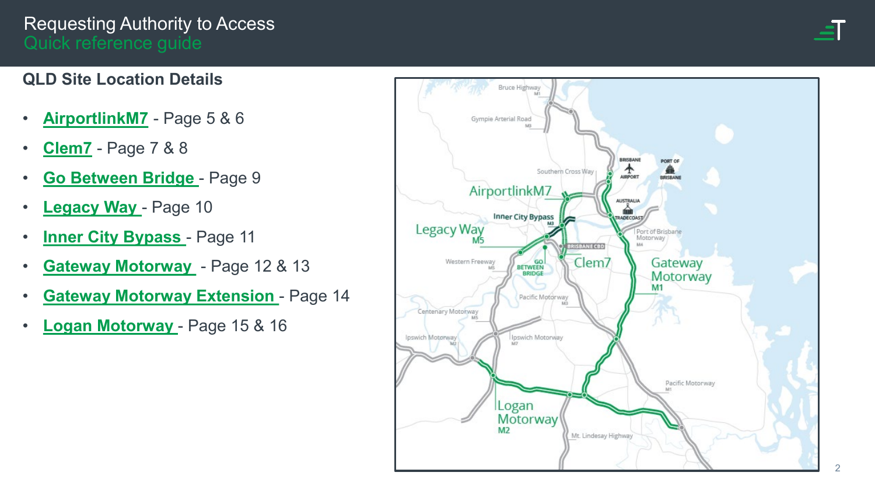## **QLD Site Location Details**

- **[AirportlinkM7](#page-4-0)** Page 5 & 6
- **[Clem7](#page-6-0)** Page 7 & 8
- **[Go Between Bridge](#page-8-0)**  Page 9
- **[Legacy Way](#page-9-0)**  Page 10
- **Inner City Bypass** Page 11
- **[Gateway Motorway](#page-11-0)**  Page 12 & 13
- **[Gateway Motorway Extension](#page-13-0)**  Page 14
- **[Logan Motorway](#page-14-0)**  Page 15 & 16

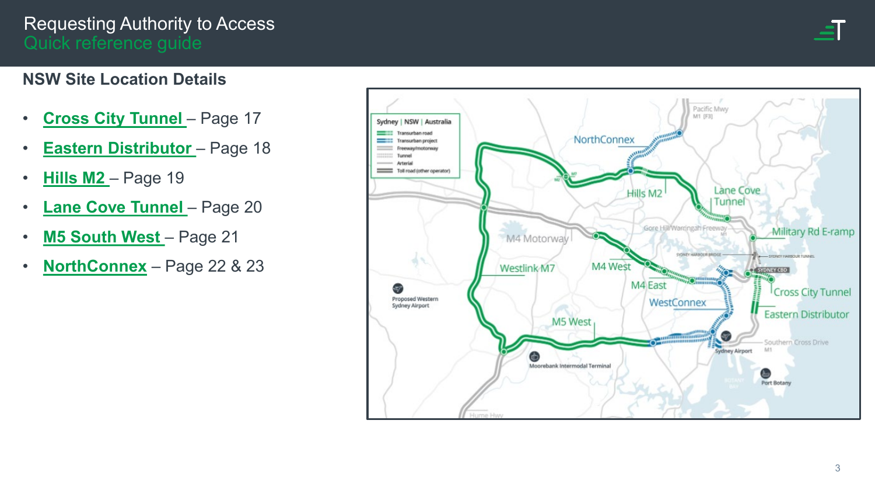

#### **NSW Site Location Details**

- **[Cross City Tunnel](#page-16-0)**  Page 17
- **[Eastern Distributor](#page-17-0)**  Page 18
- **[Hills M2](#page-18-0)**  Page 19
- **[Lane Cove Tunnel](#page-19-0)**  Page 20
- **[M5 South West](#page-20-0)**  Page 21
- **[NorthConnex](#page-21-0)** Page 22 & 23

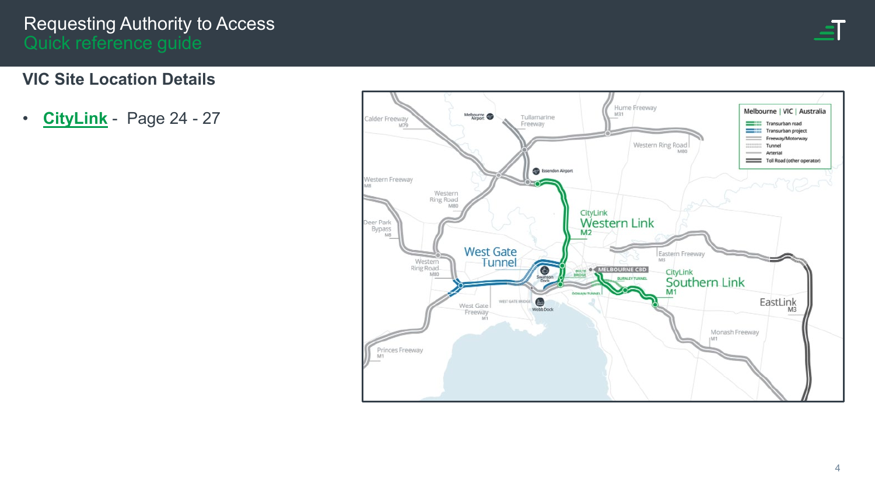

#### **VIC Site Location Details**

• **[CityLink](#page-23-0)** - Page 24 - 27

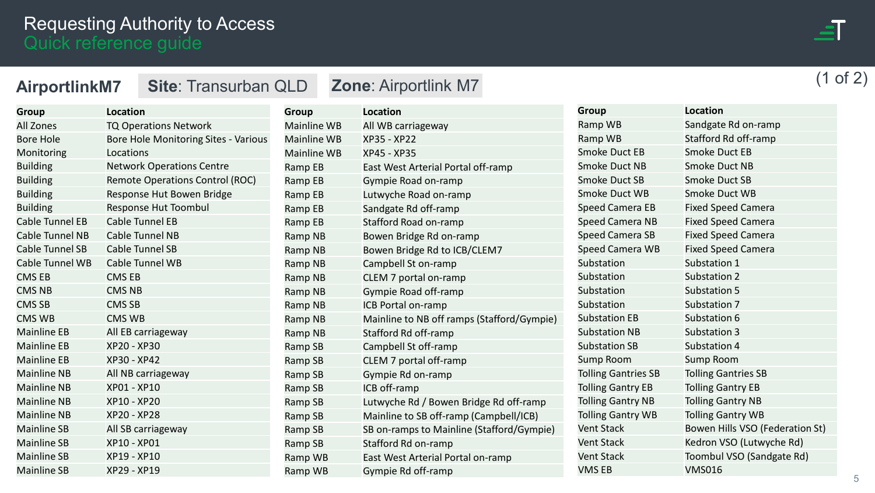

(1 of 2)

<span id="page-4-0"></span>

| <b>AirportlinkM7</b>   | <b>Site: Transurban QLD</b>                 |                    | <b>Zone: Airportlink M7</b>  |
|------------------------|---------------------------------------------|--------------------|------------------------------|
| <b>Group</b>           | <b>Location</b>                             | <b>Group</b>       | <b>Location</b>              |
| All Zones              | <b>TQ Operations Network</b>                | <b>Mainline WB</b> | All WB carriageway           |
| <b>Bore Hole</b>       | <b>Bore Hole Monitoring Sites - Various</b> | <b>Mainline WB</b> | <b>XP35 - XP22</b>           |
| Monitoring             | Locations                                   | <b>Mainline WB</b> | XP45 - XP35                  |
| <b>Building</b>        | <b>Network Operations Centre</b>            | Ramp EB            | East West Arterial Portal of |
| <b>Building</b>        | <b>Remote Operations Control (ROC)</b>      | Ramp EB            | Gympie Road on-ramp          |
| <b>Building</b>        | Response Hut Bowen Bridge                   | Ramp EB            | Lutwyche Road on-ramp        |
| <b>Building</b>        | Response Hut Toombul                        | Ramp EB            | Sandgate Rd off-ramp         |
| <b>Cable Tunnel EB</b> | <b>Cable Tunnel EB</b>                      | Ramp EB            | Stafford Road on-ramp        |
| Cable Tunnel NB        | Cable Tunnel NB                             | Ramp NB            | Bowen Bridge Rd on-ramp      |
| <b>Cable Tunnel SB</b> | Cable Tunnel SB                             | Ramp NB            | Bowen Bridge Rd to ICB/CL    |
| Cable Tunnel WB        | Cable Tunnel WB                             | Ramp NB            | Campbell St on-ramp          |
| <b>CMS EB</b>          | <b>CMS EB</b>                               | Ramp NB            | CLEM 7 portal on-ramp        |
| <b>CMS NB</b>          | <b>CMS NB</b>                               | Ramp NB            | Gympie Road off-ramp         |
| <b>CMS SB</b>          | <b>CMS SB</b>                               | Ramp NB            | ICB Portal on-ramp           |
| <b>CMS WB</b>          | <b>CMS WB</b>                               | Ramp NB            | Mainline to NB off ramps (S  |
| <b>Mainline EB</b>     | All EB carriageway                          | Ramp NB            | Stafford Rd off-ramp         |
| <b>Mainline EB</b>     | XP20 - XP30                                 | Ramp SB            | Campbell St off-ramp         |
| <b>Mainline EB</b>     | XP30 - XP42                                 | Ramp SB            | CLEM 7 portal off-ramp       |
| <b>Mainline NB</b>     | All NB carriageway                          | Ramp SB            | Gympie Rd on-ramp            |
| <b>Mainline NB</b>     | XP01 - XP10                                 | Ramp SB            | ICB off-ramp                 |
| <b>Mainline NB</b>     | XP10 - XP20                                 | Ramp SB            | Lutwyche Rd / Bowen Bridg    |
| <b>Mainline NB</b>     | XP20 - XP28                                 | Ramp SB            | Mainline to SB off-ramp (Ca  |
| <b>Mainline SB</b>     | All SB carriageway                          | Ramp SB            | SB on-ramps to Mainline (S   |
| <b>Mainline SB</b>     | XP10 - XP01                                 | Ramp SB            | Stafford Rd on-ramp          |
| <b>Mainline SB</b>     | XP19 - XP10                                 | Ramp WB            | East West Arterial Portal or |

Mainline SB XP29 - XP19

| <b>Group</b>       | <b>Location</b>                            |
|--------------------|--------------------------------------------|
| <b>Mainline WB</b> | All WB carriageway                         |
| <b>Mainline WB</b> | XP35 - XP22                                |
| Mainline WB        | XP45 - XP35                                |
| Ramp EB            | East West Arterial Portal off-ramp         |
| Ramp EB            | Gympie Road on-ramp                        |
| Ramp EB            | Lutwyche Road on-ramp                      |
| Ramp EB            | Sandgate Rd off-ramp                       |
| Ramp EB            | Stafford Road on-ramp                      |
| Ramp NB            | Bowen Bridge Rd on-ramp                    |
| Ramp NB            | Bowen Bridge Rd to ICB/CLEM7               |
| Ramp NB            | Campbell St on-ramp                        |
| Ramp NB            | CLEM 7 portal on-ramp                      |
| Ramp NB            | Gympie Road off-ramp                       |
| Ramp NB            | ICB Portal on-ramp                         |
| Ramp NB            | Mainline to NB off ramps (Stafford/Gympie) |
| Ramp NB            | Stafford Rd off-ramp                       |
| Ramp SB            | Campbell St off-ramp                       |
| Ramp SB            | CLEM 7 portal off-ramp                     |
| Ramp SB            | Gympie Rd on-ramp                          |
| Ramp SB            | ICB off-ramp                               |
| Ramp SB            | Lutwyche Rd / Bowen Bridge Rd off-ramp     |
| Ramp SB            | Mainline to SB off-ramp (Campbell/ICB)     |
| Ramp SB            | SB on-ramps to Mainline (Stafford/Gympie)  |
| Ramp SB            | Stafford Rd on-ramp                        |
| Ramp WB            | East West Arterial Portal on-ramp          |
| Ramp WB            | Gympie Rd off-ramp                         |

| <b>Location</b>                 |
|---------------------------------|
| Sandgate Rd on-ramp             |
| Stafford Rd off-ramp            |
| <b>Smoke Duct EB</b>            |
| <b>Smoke Duct NB</b>            |
| Smoke Duct SB                   |
| Smoke Duct WB                   |
| <b>Fixed Speed Camera</b>       |
| <b>Fixed Speed Camera</b>       |
| <b>Fixed Speed Camera</b>       |
| <b>Fixed Speed Camera</b>       |
| Substation 1                    |
| Substation 2                    |
| Substation 5                    |
| Substation 7                    |
| Substation 6                    |
| Substation 3                    |
| Substation 4                    |
| <b>Sump Room</b>                |
| <b>Tolling Gantries SB</b>      |
| <b>Tolling Gantry EB</b>        |
| <b>Tolling Gantry NB</b>        |
| <b>Tolling Gantry WB</b>        |
| Bowen Hills VSO (Federation St) |
| Kedron VSO (Lutwyche Rd)        |
| Toombul VSO (Sandgate Rd)       |
| <b>VMS016</b>                   |
|                                 |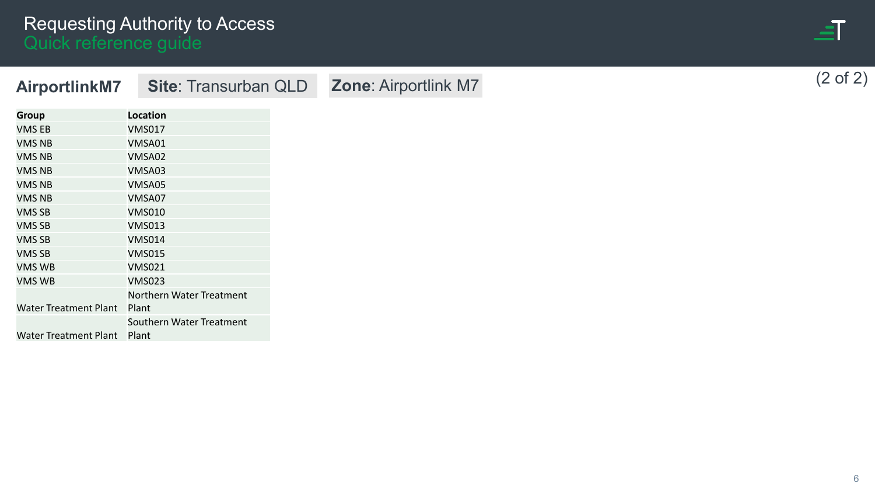

| <b>AirportlinkM7</b>         | <b>Site: Transurban QLD</b> |
|------------------------------|-----------------------------|
| <b>Group</b>                 | Location                    |
| <b>VMS EB</b>                | <b>VMS017</b>               |
| <b>VMS NB</b>                | VMSA01                      |
| <b>VMS NB</b>                | VMSA02                      |
| <b>VMS NB</b>                | VMSA03                      |
| <b>VMS NB</b>                | VMSA05                      |
| <b>VMS NB</b>                | VMSA07                      |
| VMS SB                       | <b>VMS010</b>               |
| VMS SB                       | <b>VMS013</b>               |
| VMS SB                       | <b>VMS014</b>               |
| VMS SB                       | <b>VMS015</b>               |
| VMS WB                       | <b>VMS021</b>               |
| VMS WB                       | <b>VMS023</b>               |
|                              | Northern Water Treatment    |
| <b>Water Treatment Plant</b> | Plant                       |
|                              | Southern Water Treatment    |
| <b>Water Treatment Plant</b> | Plant                       |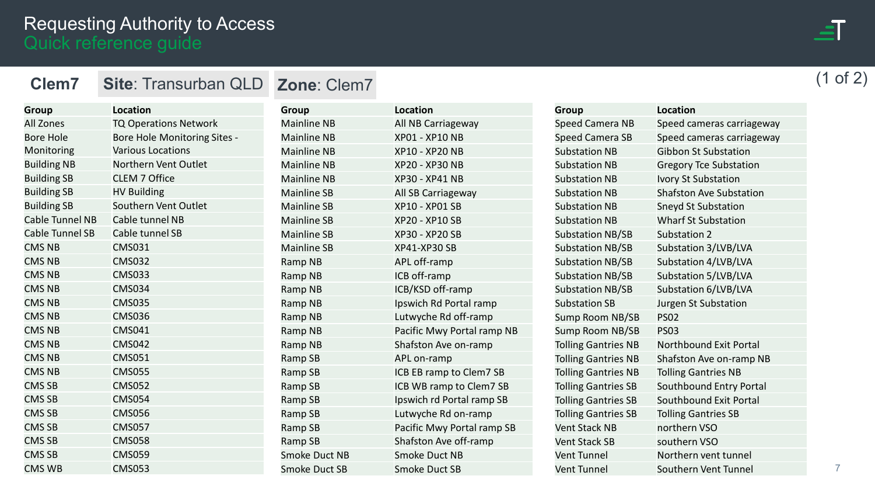| <b>Group</b>           | <b>Location</b>              | <b>Group</b>      |
|------------------------|------------------------------|-------------------|
| <b>All Zones</b>       | <b>TQ Operations Network</b> | <b>Mainline N</b> |
| <b>Bore Hole</b>       | Bore Hole Monitoring Sites - | <b>Mainline N</b> |
| Monitoring             | <b>Various Locations</b>     | <b>Mainline N</b> |
| <b>Building NB</b>     | Northern Vent Outlet         | <b>Mainline N</b> |
| <b>Building SB</b>     | <b>CLEM 7 Office</b>         | <b>Mainline N</b> |
| <b>Building SB</b>     | <b>HV Building</b>           | Mainline SI       |
| <b>Building SB</b>     | Southern Vent Outlet         | Mainline SI       |
| <b>Cable Tunnel NB</b> | Cable tunnel NB              | Mainline SI       |
| <b>Cable Tunnel SB</b> | Cable tunnel SB              | Mainline SI       |
| <b>CMS NB</b>          | <b>CMS031</b>                | Mainline SI       |
| <b>CMS NB</b>          | <b>CMS032</b>                | Ramp NB           |
| <b>CMS NB</b>          | <b>CMS033</b>                | Ramp NB           |
| <b>CMS NB</b>          | <b>CMS034</b>                | Ramp NB           |
| <b>CMS NB</b>          | <b>CMS035</b>                | Ramp NB           |
| <b>CMS NB</b>          | <b>CMS036</b>                | Ramp NB           |
| <b>CMS NB</b>          | <b>CMS041</b>                | Ramp NB           |
| <b>CMS NB</b>          | <b>CMS042</b>                | Ramp NB           |
| <b>CMS NB</b>          | <b>CMS051</b>                | Ramp SB           |
| <b>CMS NB</b>          | <b>CMS055</b>                | Ramp SB           |
| <b>CMS SB</b>          | <b>CMS052</b>                | Ramp SB           |
| <b>CMS SB</b>          | <b>CMS054</b>                | Ramp SB           |
| <b>CMS SB</b>          | <b>CMS056</b>                | Ramp SB           |
| <b>CMS SB</b>          | <b>CMS057</b>                | Ramp SB           |
| <b>CMS SB</b>          | <b>CMS058</b>                | Ramp SB           |
| <b>CMS SB</b>          | <b>CMS059</b>                | Smoke Duo         |

CMS WB CMS053

<span id="page-6-0"></span>

| <b>Clem7</b> Site: Transurban QLD Zone: Clem7 |  | (1 of 2) |  |  |
|-----------------------------------------------|--|----------|--|--|
|                                               |  |          |  |  |

| <b>Group</b>         | <b>Location</b>            |
|----------------------|----------------------------|
| <b>Mainline NB</b>   | All NB Carriageway         |
| <b>Mainline NB</b>   | XP01 - XP10 NB             |
| <b>Mainline NB</b>   | XP10 - XP20 NB             |
| <b>Mainline NB</b>   | <b>XP20 - XP30 NB</b>      |
| <b>Mainline NB</b>   | <b>XP30 - XP41 NB</b>      |
| <b>Mainline SB</b>   | All SB Carriageway         |
| <b>Mainline SB</b>   | XP10 - XP01 SB             |
| <b>Mainline SB</b>   | XP20 - XP10 SB             |
| <b>Mainline SB</b>   | XP30 - XP20 SB             |
| <b>Mainline SB</b>   | <b>XP41-XP30 SB</b>        |
| Ramp NB              | APL off-ramp               |
| Ramp NB              | ICB off-ramp               |
| Ramp NB              | ICB/KSD off-ramp           |
| <b>Ramp NB</b>       | Ipswich Rd Portal ramp     |
| Ramp NB              | Lutwyche Rd off-ramp       |
| Ramp NB              | Pacific Mwy Portal ramp NB |
| Ramp NB              | Shafston Ave on-ramp       |
| Ramp SB              | APL on-ramp                |
| Ramp SB              | ICB EB ramp to Clem7 SB    |
| Ramp SB              | ICB WB ramp to Clem7 SB    |
| Ramp SB              | Ipswich rd Portal ramp SB  |
| Ramp SB              | Lutwyche Rd on-ramp        |
| Ramp SB              | Pacific Mwy Portal ramp SB |
| Ramp SB              | Shafston Ave off-ramp      |
| <b>Smoke Duct NB</b> | Smoke Duct NB              |
| Smoke Duct SB        | Smoke Duct SB              |

| Group                      | <b>Location</b>                |
|----------------------------|--------------------------------|
| Speed Camera NB            | Speed cameras carriageway      |
| <b>Speed Camera SB</b>     | Speed cameras carriageway      |
| <b>Substation NB</b>       | <b>Gibbon St Substation</b>    |
| <b>Substation NB</b>       | <b>Gregory Tce Substation</b>  |
| <b>Substation NB</b>       | <b>Ivory St Substation</b>     |
| <b>Substation NB</b>       | <b>Shafston Ave Substation</b> |
| <b>Substation NB</b>       | <b>Sneyd St Substation</b>     |
| <b>Substation NB</b>       | <b>Wharf St Substation</b>     |
| <b>Substation NB/SB</b>    | Substation 2                   |
| <b>Substation NB/SB</b>    | Substation 3/LVB/LVA           |
| <b>Substation NB/SB</b>    | Substation 4/LVB/LVA           |
| <b>Substation NB/SB</b>    | Substation 5/LVB/LVA           |
| <b>Substation NB/SB</b>    | Substation 6/LVB/LVA           |
| <b>Substation SB</b>       | Jurgen St Substation           |
| Sump Room NB/SB            | <b>PS02</b>                    |
| Sump Room NB/SB            | <b>PS03</b>                    |
| <b>Tolling Gantries NB</b> | <b>Northbound Exit Portal</b>  |
| <b>Tolling Gantries NB</b> | Shafston Ave on-ramp NB        |
| <b>Tolling Gantries NB</b> | <b>Tolling Gantries NB</b>     |
| <b>Tolling Gantries SB</b> | Southbound Entry Portal        |
| <b>Tolling Gantries SB</b> | Southbound Exit Portal         |
| <b>Tolling Gantries SB</b> | <b>Tolling Gantries SB</b>     |
| <b>Vent Stack NB</b>       | northern VSO                   |
| <b>Vent Stack SB</b>       | southern VSO                   |
| Vent Tunnel                | Northern vent tunnel           |
| <b>Vent Tunnel</b>         | Southern Vent Tunnel           |
|                            |                                |

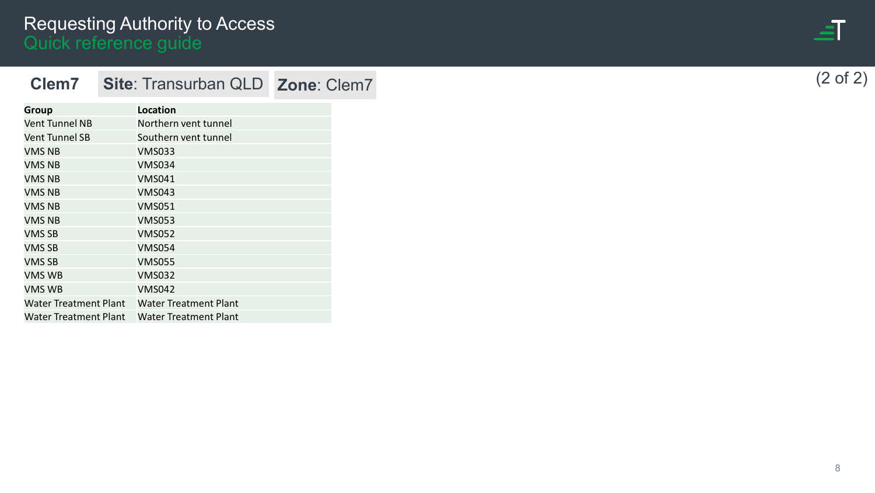| <b>Clem7</b>   | Site: Transurban QLD Zone: Clem7 |  |
|----------------|----------------------------------|--|
|                |                                  |  |
| <b>Group</b>   | Location                         |  |
| Vent Tunnel NB | Northern vent tunnel             |  |
| Vent Tunnel SB | Southern vent tunnel             |  |
| VMS NB         | <b>VMS033</b>                    |  |
| VMS NB         | <b>VMS034</b>                    |  |
| VMS NB         | <b>VMS041</b>                    |  |
| VMS NB         | <b>VMS043</b>                    |  |
| VMS NB         | <b>VMS051</b>                    |  |
| VMS NB         | <b>VMS053</b>                    |  |
| <b>VMS SB</b>  | <b>VMS052</b>                    |  |
| VMS SB         | <b>VMS054</b>                    |  |
| VMS SB         | <b>VMS055</b>                    |  |
| VMS WB         | <b>VMS032</b>                    |  |
| VMS WB         | <b>VMS042</b>                    |  |
|                |                                  |  |
|                |                                  |  |
|                |                                  |  |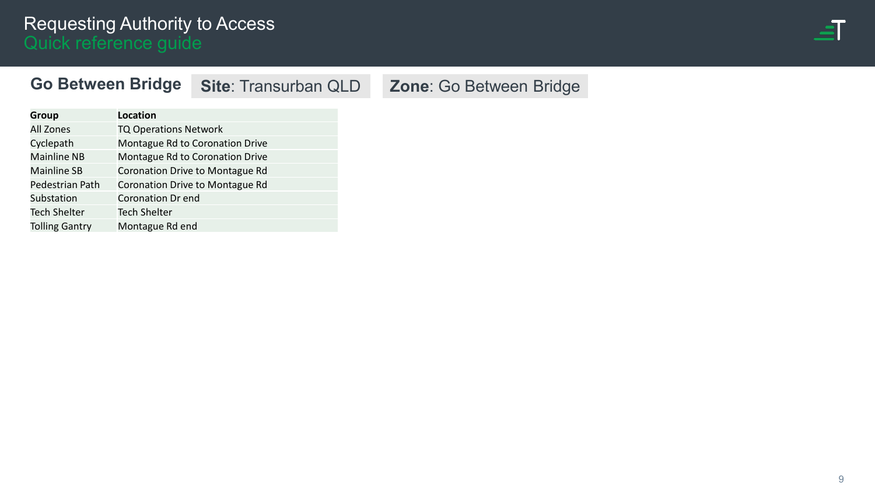

## <span id="page-8-0"></span>**Go Between Bridge**

**Site**: Transurban QLD **Zone**: Go Between Bridge

| <b>Group</b>          | <b>Location</b>                 |
|-----------------------|---------------------------------|
| <b>All Zones</b>      | <b>TQ Operations Network</b>    |
| Cyclepath             | Montague Rd to Coronation Drive |
| <b>Mainline NB</b>    | Montague Rd to Coronation Drive |
| <b>Mainline SB</b>    | Coronation Drive to Montague Rd |
| Pedestrian Path       | Coronation Drive to Montague Rd |
| Substation            | <b>Coronation Dr end</b>        |
| <b>Tech Shelter</b>   | <b>Tech Shelter</b>             |
| <b>Tolling Gantry</b> | Montague Rd end                 |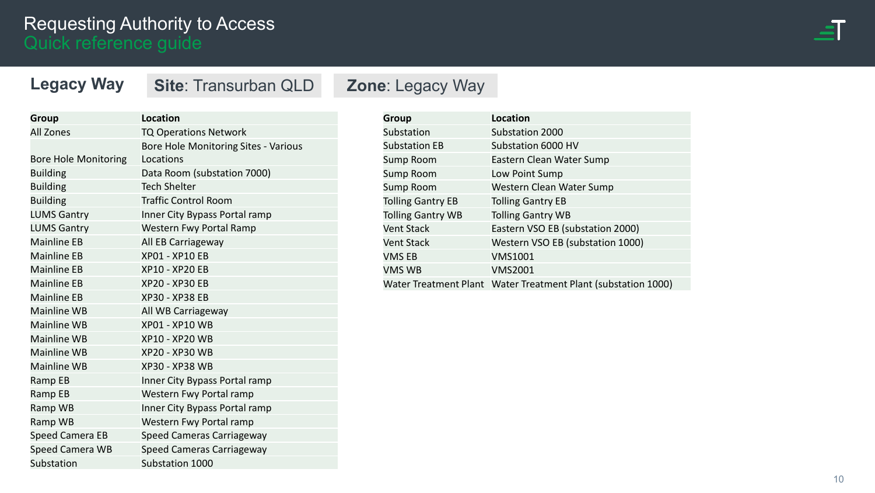<span id="page-9-0"></span>**Legacy Way**



| Legacy way                  | <b>Site: Transurban QLD</b>          |  |  |
|-----------------------------|--------------------------------------|--|--|
|                             |                                      |  |  |
| <b>Group</b>                | Location                             |  |  |
| <b>All Zones</b>            | <b>TQ Operations Network</b>         |  |  |
|                             | Bore Hole Monitoring Sites - Various |  |  |
| <b>Bore Hole Monitoring</b> | Locations                            |  |  |
| <b>Building</b>             | Data Room (substation 7000)          |  |  |
| <b>Building</b>             | <b>Tech Shelter</b>                  |  |  |
| <b>Building</b>             | <b>Traffic Control Room</b>          |  |  |
| <b>LUMS Gantry</b>          | Inner City Bypass Portal ramp        |  |  |
| <b>LUMS Gantry</b>          | Western Fwy Portal Ramp              |  |  |
| <b>Mainline EB</b>          | All EB Carriageway                   |  |  |
| <b>Mainline EB</b>          | <b>XP01 - XP10 EB</b>                |  |  |
| <b>Mainline EB</b>          | XP10 - XP20 EB                       |  |  |
| <b>Mainline EB</b>          | <b>XP20 - XP30 EB</b>                |  |  |
| <b>Mainline EB</b>          | <b>XP30 - XP38 EB</b>                |  |  |
| <b>Mainline WB</b>          | All WB Carriageway                   |  |  |
| <b>Mainline WB</b>          | XP01 - XP10 WB                       |  |  |
| <b>Mainline WB</b>          | XP10 - XP20 WB                       |  |  |
| <b>Mainline WB</b>          | XP20 - XP30 WB                       |  |  |
| <b>Mainline WB</b>          | <b>XP30 - XP38 WB</b>                |  |  |
| Ramp EB                     | Inner City Bypass Portal ramp        |  |  |
| Ramp EB                     | Western Fwy Portal ramp              |  |  |
| Ramp WB                     | Inner City Bypass Portal ramp        |  |  |
| Ramp WB                     | Western Fwy Portal ramp              |  |  |
| <b>Speed Camera EB</b>      | Speed Cameras Carriageway            |  |  |
| Speed Camera WB             | Speed Cameras Carriageway            |  |  |
| Substation                  | Substation 1000                      |  |  |

# **SILD Zone**: Legacy Way

| <b>Group</b>             | <b>Location</b>                                               |
|--------------------------|---------------------------------------------------------------|
| Substation               | Substation 2000                                               |
| <b>Substation EB</b>     | Substation 6000 HV                                            |
| Sump Room                | Eastern Clean Water Sump                                      |
| Sump Room                | Low Point Sump                                                |
| <b>Sump Room</b>         | Western Clean Water Sump                                      |
| <b>Tolling Gantry EB</b> | <b>Tolling Gantry EB</b>                                      |
| <b>Tolling Gantry WB</b> | <b>Tolling Gantry WB</b>                                      |
| <b>Vent Stack</b>        | Eastern VSO EB (substation 2000)                              |
| <b>Vent Stack</b>        | Western VSO EB (substation 1000)                              |
| <b>VMS EB</b>            | <b>VMS1001</b>                                                |
| <b>VMS WB</b>            | <b>VMS2001</b>                                                |
|                          | Water Treatment Plant Water Treatment Plant (substation 1000) |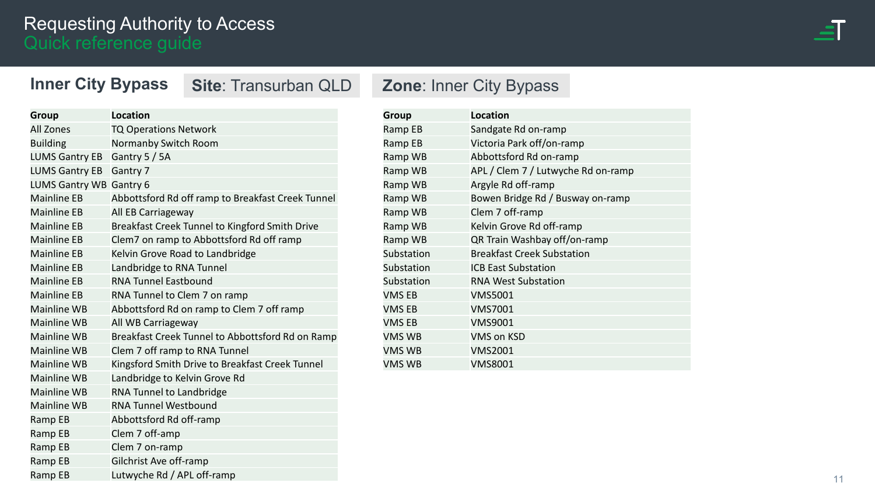## <span id="page-10-0"></span>**Inner City Bypass**

| <b>Group</b>            | <b>Location</b>                                   |
|-------------------------|---------------------------------------------------|
| <b>All Zones</b>        | <b>TQ Operations Network</b>                      |
| <b>Building</b>         | Normanby Switch Room                              |
| <b>LUMS Gantry EB</b>   | Gantry 5 / 5A                                     |
| <b>LUMS Gantry EB</b>   | Gantry 7                                          |
| LUMS Gantry WB Gantry 6 |                                                   |
| <b>Mainline EB</b>      | Abbottsford Rd off ramp to Breakfast Creek Tunnel |
| <b>Mainline EB</b>      | All EB Carriageway                                |
| <b>Mainline EB</b>      | Breakfast Creek Tunnel to Kingford Smith Drive    |
| <b>Mainline EB</b>      | Clem7 on ramp to Abbottsford Rd off ramp          |
| <b>Mainline EB</b>      | Kelvin Grove Road to Landbridge                   |
| <b>Mainline EB</b>      | Landbridge to RNA Tunnel                          |
| <b>Mainline EB</b>      | <b>RNA Tunnel Eastbound</b>                       |
| <b>Mainline EB</b>      | RNA Tunnel to Clem 7 on ramp                      |
| <b>Mainline WB</b>      | Abbottsford Rd on ramp to Clem 7 off ramp         |
| <b>Mainline WB</b>      | All WB Carriageway                                |
| <b>Mainline WB</b>      | Breakfast Creek Tunnel to Abbottsford Rd on Ramp  |
| <b>Mainline WB</b>      | Clem 7 off ramp to RNA Tunnel                     |
| <b>Mainline WB</b>      | Kingsford Smith Drive to Breakfast Creek Tunnel   |
| <b>Mainline WB</b>      | Landbridge to Kelvin Grove Rd                     |
| <b>Mainline WB</b>      | RNA Tunnel to Landbridge                          |
| <b>Mainline WB</b>      | <b>RNA Tunnel Westbound</b>                       |
| Ramp EB                 | Abbottsford Rd off-ramp                           |
| Ramp EB                 | Clem 7 off-amp                                    |
| Ramp EB                 | Clem 7 on-ramp                                    |
| Ramp EB                 | Gilchrist Ave off-ramp                            |
| Ramp EB                 | Lutwyche Rd / APL off-ramp                        |

# **Site**: Transurban QLD **Zone**: Inner City Bypass

| <b>Group</b>  | <b>Location</b>                    |
|---------------|------------------------------------|
| Ramp EB       | Sandgate Rd on-ramp                |
| Ramp EB       | Victoria Park off/on-ramp          |
| Ramp WB       | Abbottsford Rd on-ramp             |
| Ramp WB       | APL / Clem 7 / Lutwyche Rd on-ramp |
| Ramp WB       | Argyle Rd off-ramp                 |
| Ramp WB       | Bowen Bridge Rd / Busway on-ramp   |
| Ramp WB       | Clem 7 off-ramp                    |
| Ramp WB       | Kelvin Grove Rd off-ramp           |
| Ramp WB       | QR Train Washbay off/on-ramp       |
| Substation    | <b>Breakfast Creek Substation</b>  |
| Substation    | <b>ICB East Substation</b>         |
| Substation    | <b>RNA West Substation</b>         |
| <b>VMSEB</b>  | <b>VMS5001</b>                     |
| <b>VMS EB</b> | <b>VMS7001</b>                     |
| <b>VMS EB</b> | <b>VMS9001</b>                     |
| <b>VMS WB</b> | <b>VMS on KSD</b>                  |
| <b>VMS WB</b> | <b>VMS2001</b>                     |
| <b>VMS WB</b> | <b>VMS8001</b>                     |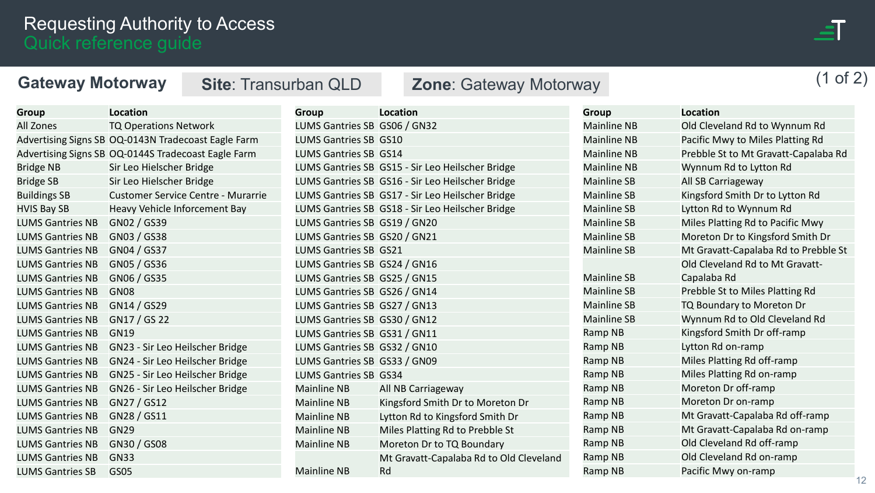

# <span id="page-11-0"></span>Gateway Motorway Site: Transurban QLD Zone: Gateway Motorway (1 of 2)

| <b>Group</b>            | <b>Location</b>                                     | <b>Group</b>                 | Location                                         |
|-------------------------|-----------------------------------------------------|------------------------------|--------------------------------------------------|
| <b>All Zones</b>        | <b>TQ Operations Network</b>                        | LUMS Gantries SB GS06 / GN32 |                                                  |
|                         | Advertising Signs SB OQ-0143N Tradecoast Eagle Farm | <b>LUMS Gantries SB GS10</b> |                                                  |
|                         | Advertising Signs SB OQ-0144S Tradecoast Eagle Farm | <b>LUMS Gantries SB GS14</b> |                                                  |
| <b>Bridge NB</b>        | Sir Leo Hielscher Bridge                            |                              | LUMS Gantries SB GS15 - Sir Leo Heilscher Bridge |
| <b>Bridge SB</b>        | Sir Leo Hielscher Bridge                            |                              | LUMS Gantries SB GS16 - Sir Leo Heilscher Bridge |
| <b>Buildings SB</b>     | <b>Customer Service Centre - Murarrie</b>           |                              | LUMS Gantries SB GS17 - Sir Leo Heilscher Bridge |
| <b>HVIS Bay SB</b>      | Heavy Vehicle Inforcement Bay                       |                              | LUMS Gantries SB GS18 - Sir Leo Heilscher Bridge |
| <b>LUMS Gantries NB</b> | GN02 / GS39                                         | LUMS Gantries SB GS19 / GN20 |                                                  |
| <b>LUMS Gantries NB</b> | GN03 / GS38                                         | LUMS Gantries SB GS20 / GN21 |                                                  |
| <b>LUMS Gantries NB</b> | GN04 / GS37                                         | <b>LUMS Gantries SB GS21</b> |                                                  |
| <b>LUMS Gantries NB</b> | GN05 / GS36                                         | LUMS Gantries SB GS24 / GN16 |                                                  |
| <b>LUMS Gantries NB</b> | GN06 / GS35                                         | LUMS Gantries SB GS25 / GN15 |                                                  |
| <b>LUMS Gantries NB</b> | <b>GN08</b>                                         | LUMS Gantries SB GS26 / GN14 |                                                  |
| <b>LUMS Gantries NB</b> | GN14 / GS29                                         | LUMS Gantries SB GS27 / GN13 |                                                  |
| <b>LUMS Gantries NB</b> | GN17 / GS 22                                        | LUMS Gantries SB GS30 / GN12 |                                                  |
| <b>LUMS Gantries NB</b> | <b>GN19</b>                                         | LUMS Gantries SB GS31 / GN11 |                                                  |
| <b>LUMS Gantries NB</b> | GN23 - Sir Leo Heilscher Bridge                     | LUMS Gantries SB GS32 / GN10 |                                                  |
| <b>LUMS Gantries NB</b> | GN24 - Sir Leo Heilscher Bridge                     | LUMS Gantries SB GS33 / GN09 |                                                  |
| <b>LUMS Gantries NB</b> | GN25 - Sir Leo Heilscher Bridge                     | <b>LUMS Gantries SB GS34</b> |                                                  |
| <b>LUMS Gantries NB</b> | GN26 - Sir Leo Heilscher Bridge                     | Mainline NB                  | All NB Carriageway                               |
| <b>LUMS Gantries NB</b> | GN27 / GS12                                         | Mainline NB                  | Kingsford Smith Dr to Moreton Dr                 |
| <b>LUMS Gantries NB</b> | GN28 / GS11                                         | <b>Mainline NB</b>           | Lytton Rd to Kingsford Smith Dr                  |
| <b>LUMS Gantries NB</b> | <b>GN29</b>                                         | <b>Mainline NB</b>           | Miles Platting Rd to Prebble St                  |
| <b>LUMS Gantries NB</b> | GN30 / GS08                                         | <b>Mainline NB</b>           | Moreton Dr to TQ Boundary                        |
| <b>LUMS Gantries NB</b> | <b>GN33</b>                                         |                              | Mt Gravatt-Capalaba Rd to Old Cleveland          |
| <b>LUMS Gantries SB</b> | GS05                                                | <b>Mainline NB</b>           | <b>Rd</b>                                        |

| <b>Group</b>       | Location                             |
|--------------------|--------------------------------------|
| <b>Mainline NB</b> | Old Cleveland Rd to Wynnum Rd        |
| <b>Mainline NB</b> | Pacific Mwy to Miles Platting Rd     |
| <b>Mainline NB</b> | Prebble St to Mt Gravatt-Capalaba Rd |
| <b>Mainline NB</b> | Wynnum Rd to Lytton Rd               |
| <b>Mainline SB</b> | All SB Carriageway                   |
| <b>Mainline SB</b> | Kingsford Smith Dr to Lytton Rd      |
| <b>Mainline SB</b> | Lytton Rd to Wynnum Rd               |
| <b>Mainline SB</b> | Miles Platting Rd to Pacific Mwy     |
| <b>Mainline SB</b> | Moreton Dr to Kingsford Smith Dr     |
| <b>Mainline SB</b> | Mt Gravatt-Capalaba Rd to Prebble St |
|                    | Old Cleveland Rd to Mt Gravatt-      |
| <b>Mainline SB</b> | Capalaba Rd                          |
| <b>Mainline SB</b> | Prebble St to Miles Platting Rd      |
| <b>Mainline SB</b> | TQ Boundary to Moreton Dr            |
| <b>Mainline SB</b> | Wynnum Rd to Old Cleveland Rd        |
| Ramp NB            | Kingsford Smith Dr off-ramp          |
| Ramp NB            | Lytton Rd on-ramp                    |
| Ramp NB            | Miles Platting Rd off-ramp           |
| Ramp NB            | Miles Platting Rd on-ramp            |
| Ramp NB            | Moreton Dr off-ramp                  |
| Ramp NB            | Moreton Dr on-ramp                   |
| Ramp NB            | Mt Gravatt-Capalaba Rd off-ramp      |
| Ramp NB            | Mt Gravatt-Capalaba Rd on-ramp       |
| Ramp NB            | Old Cleveland Rd off-ramp            |
| Ramp NB            | Old Cleveland Rd on-ramp             |
| Ramp NB            | Pacific Mwy on-ramp                  |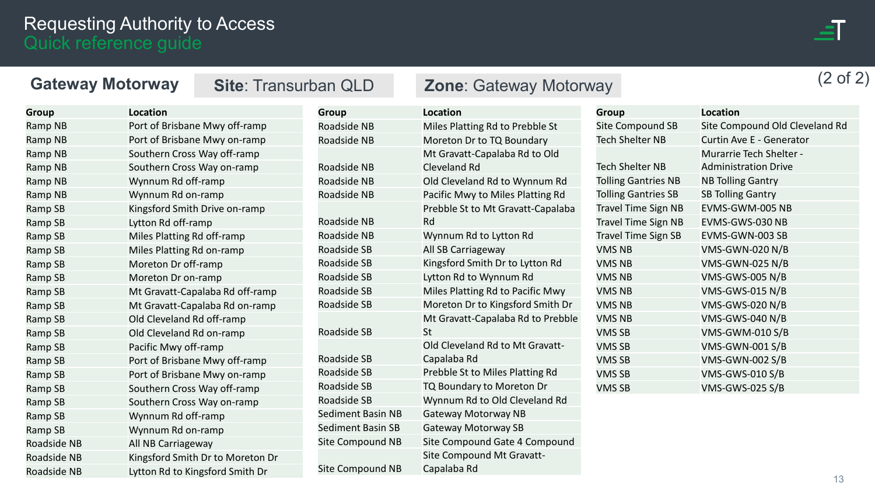

| <b>Gateway Motorway</b> |                                  | <b>Site: Transurban QLD</b> |                          | <b>Zone: Gateway Motorway</b>     |                            |                                | $(2 \text{ of } 2)$ |
|-------------------------|----------------------------------|-----------------------------|--------------------------|-----------------------------------|----------------------------|--------------------------------|---------------------|
| <b>Group</b>            | <b>Location</b>                  |                             | <b>Group</b>             | <b>Location</b>                   | <b>Group</b>               | <b>Location</b>                |                     |
| Ramp NB                 | Port of Brisbane Mwy off-ramp    |                             | Roadside NB              | Miles Platting Rd to Prebble St   | <b>Site Compound SB</b>    | Site Compound Old Cleveland Rd |                     |
| Ramp NB                 | Port of Brisbane Mwy on-ramp     |                             | Roadside NB              | Moreton Dr to TQ Boundary         | <b>Tech Shelter NB</b>     | Curtin Ave E - Generator       |                     |
| Ramp NB                 | Southern Cross Way off-ramp      |                             |                          | Mt Gravatt-Capalaba Rd to Old     |                            | <b>Murarrie Tech Shelter -</b> |                     |
| Ramp NB                 | Southern Cross Way on-ramp       |                             | Roadside NB              | <b>Cleveland Rd</b>               | <b>Tech Shelter NB</b>     | <b>Administration Drive</b>    |                     |
| Ramp NB                 | Wynnum Rd off-ramp               |                             | Roadside NB              | Old Cleveland Rd to Wynnum Rd     | <b>Tolling Gantries NB</b> | <b>NB Tolling Gantry</b>       |                     |
| Ramp NB                 | Wynnum Rd on-ramp                |                             | Roadside NB              | Pacific Mwy to Miles Platting Rd  | <b>Tolling Gantries SB</b> | <b>SB Tolling Gantry</b>       |                     |
| Ramp SB                 | Kingsford Smith Drive on-ramp    |                             |                          | Prebble St to Mt Gravatt-Capalaba | <b>Travel Time Sign NB</b> | EVMS-GWM-005 NB                |                     |
| Ramp SB                 | Lytton Rd off-ramp               |                             | Roadside NB              | Rd                                | <b>Travel Time Sign NB</b> | EVMS-GWS-030 NB                |                     |
| Ramp SB                 | Miles Platting Rd off-ramp       |                             | Roadside NB              | Wynnum Rd to Lytton Rd            | <b>Travel Time Sign SB</b> | EVMS-GWN-003 SB                |                     |
| Ramp SB                 | Miles Platting Rd on-ramp        |                             | Roadside SB              | All SB Carriageway                | <b>VMS NB</b>              | <b>VMS-GWN-020 N/B</b>         |                     |
| Ramp SB                 | Moreton Dr off-ramp              |                             | Roadside SB              | Kingsford Smith Dr to Lytton Rd   | <b>VMS NB</b>              | VMS-GWN-025 N/B                |                     |
| Ramp SB                 | Moreton Dr on-ramp               |                             | Roadside SB              | Lytton Rd to Wynnum Rd            | <b>VMS NB</b>              | <b>VMS-GWS-005 N/B</b>         |                     |
| Ramp SB                 | Mt Gravatt-Capalaba Rd off-ramp  |                             | Roadside SB              | Miles Platting Rd to Pacific Mwy  | <b>VMS NB</b>              | VMS-GWS-015 N/B                |                     |
| Ramp SB                 | Mt Gravatt-Capalaba Rd on-ramp   |                             | Roadside SB              | Moreton Dr to Kingsford Smith Dr  | <b>VMS NB</b>              | <b>VMS-GWS-020 N/B</b>         |                     |
| Ramp SB                 | Old Cleveland Rd off-ramp        |                             |                          | Mt Gravatt-Capalaba Rd to Prebble | <b>VMS NB</b>              | VMS-GWS-040 N/B                |                     |
| Ramp SB                 | Old Cleveland Rd on-ramp         |                             | Roadside SB              | St                                | <b>VMS SB</b>              | VMS-GWM-010 S/B                |                     |
| Ramp SB                 | Pacific Mwy off-ramp             |                             |                          | Old Cleveland Rd to Mt Gravatt-   | <b>VMS SB</b>              | <b>VMS-GWN-001 S/B</b>         |                     |
| Ramp SB                 | Port of Brisbane Mwy off-ramp    |                             | Roadside SB              | Capalaba Rd                       | <b>VMS SB</b>              | <b>VMS-GWN-002 S/B</b>         |                     |
| Ramp SB                 | Port of Brisbane Mwy on-ramp     |                             | Roadside SB              | Prebble St to Miles Platting Rd   | <b>VMS SB</b>              | <b>VMS-GWS-010 S/B</b>         |                     |
| Ramp SB                 | Southern Cross Way off-ramp      |                             | Roadside SB              | TQ Boundary to Moreton Dr         | <b>VMS SB</b>              | <b>VMS-GWS-025 S/B</b>         |                     |
| Ramp SB                 | Southern Cross Way on-ramp       |                             | Roadside SB              | Wynnum Rd to Old Cleveland Rd     |                            |                                |                     |
| Ramp SB                 | Wynnum Rd off-ramp               |                             | <b>Sediment Basin NB</b> | <b>Gateway Motorway NB</b>        |                            |                                |                     |
| Ramp SB                 | Wynnum Rd on-ramp                |                             | <b>Sediment Basin SB</b> | <b>Gateway Motorway SB</b>        |                            |                                |                     |
| Roadside NB             | All NB Carriageway               |                             | Site Compound NB         | Site Compound Gate 4 Compound     |                            |                                |                     |
| Roadside NB             | Kingsford Smith Dr to Moreton Dr |                             |                          | Site Compound Mt Gravatt-         |                            |                                |                     |
| <b>Roadside NB</b>      | Lytton Rd to Kingsford Smith Dr  |                             | Site Compound NB         | Capalaba Rd                       |                            |                                |                     |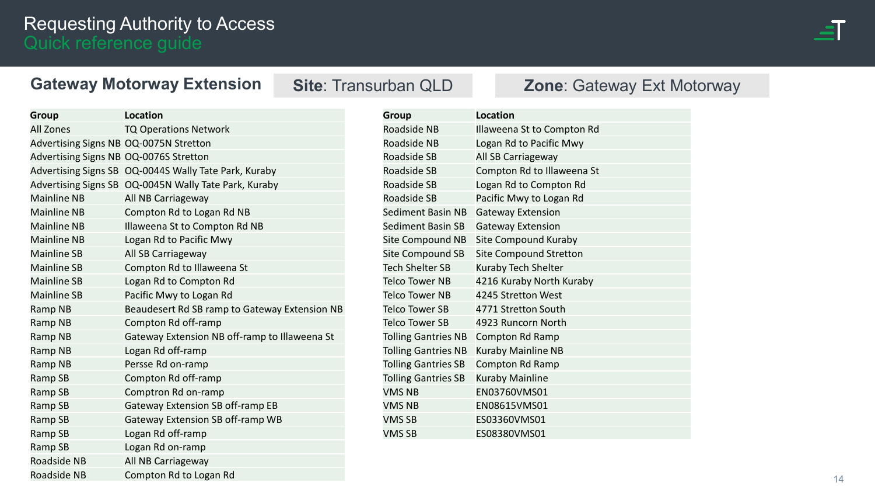

#### <span id="page-13-0"></span>**Gateway Motorway Extension**

| <b>Group</b>                           | <b>Location</b>                                       |
|----------------------------------------|-------------------------------------------------------|
| <b>All Zones</b>                       | <b>TQ Operations Network</b>                          |
| Advertising Signs NB OQ-0075N Stretton |                                                       |
| Advertising Signs NB OQ-0076S Stretton |                                                       |
|                                        | Advertising Signs SB OQ-0044S Wally Tate Park, Kuraby |
|                                        | Advertising Signs SB 0Q-0045N Wally Tate Park, Kuraby |
| <b>Mainline NB</b>                     | All NB Carriageway                                    |
| <b>Mainline NB</b>                     | Compton Rd to Logan Rd NB                             |
| <b>Mainline NB</b>                     | Illaweena St to Compton Rd NB                         |
| <b>Mainline NB</b>                     | Logan Rd to Pacific Mwy                               |
| <b>Mainline SB</b>                     | All SB Carriageway                                    |
| <b>Mainline SB</b>                     | Compton Rd to Illaweena St                            |
| <b>Mainline SB</b>                     | Logan Rd to Compton Rd                                |
| <b>Mainline SB</b>                     | Pacific Mwy to Logan Rd                               |
| Ramp NB                                | Beaudesert Rd SB ramp to Gateway Extension NB         |
| Ramp NB                                | Compton Rd off-ramp                                   |
| Ramp NB                                | Gateway Extension NB off-ramp to Illaweena St         |
| Ramp NB                                | Logan Rd off-ramp                                     |
| Ramp NB                                | Persse Rd on-ramp                                     |
| Ramp SB                                | Compton Rd off-ramp                                   |
| Ramp SB                                | Comptron Rd on-ramp                                   |
| Ramp SB                                | Gateway Extension SB off-ramp EB                      |
| Ramp SB                                | Gateway Extension SB off-ramp WB                      |
| Ramp SB                                | Logan Rd off-ramp                                     |
| Ramp SB                                | Logan Rd on-ramp                                      |
| Roadside NB                            | All NB Carriageway                                    |
| Roadside NB                            | Compton Rd to Logan Rd                                |

#### **Site**: Transurban QLD **Zone**: Gateway Ext Motorway

| <b>Group</b>               | <b>Location</b>               |
|----------------------------|-------------------------------|
| Roadside NB                | Illaweena St to Compton Rd    |
| Roadside NB                | Logan Rd to Pacific Mwy       |
| Roadside SB                | All SB Carriageway            |
| Roadside SB                | Compton Rd to Illaweena St    |
| Roadside SB                | Logan Rd to Compton Rd        |
| Roadside SB                | Pacific Mwy to Logan Rd       |
| <b>Sediment Basin NB</b>   | <b>Gateway Extension</b>      |
| Sediment Basin SB          | <b>Gateway Extension</b>      |
| Site Compound NB           | Site Compound Kuraby          |
| Site Compound SB           | <b>Site Compound Stretton</b> |
| <b>Tech Shelter SB</b>     | Kuraby Tech Shelter           |
| Telco Tower NB             | 4216 Kuraby North Kuraby      |
| Telco Tower NB             | 4245 Stretton West            |
| Telco Tower SB             | 4771 Stretton South           |
| <b>Telco Tower SB</b>      | 4923 Runcorn North            |
| <b>Tolling Gantries NB</b> | Compton Rd Ramp               |
| <b>Tolling Gantries NB</b> | <b>Kuraby Mainline NB</b>     |
| <b>Tolling Gantries SB</b> | Compton Rd Ramp               |
| <b>Tolling Gantries SB</b> | <b>Kuraby Mainline</b>        |
| <b>VMS NB</b>              | EN03760VMS01                  |
| <b>VMS NB</b>              | EN08615VMS01                  |
| <b>VMS SB</b>              | ES03360VMS01                  |
| <b>VMS SB</b>              | ES08380VMS01                  |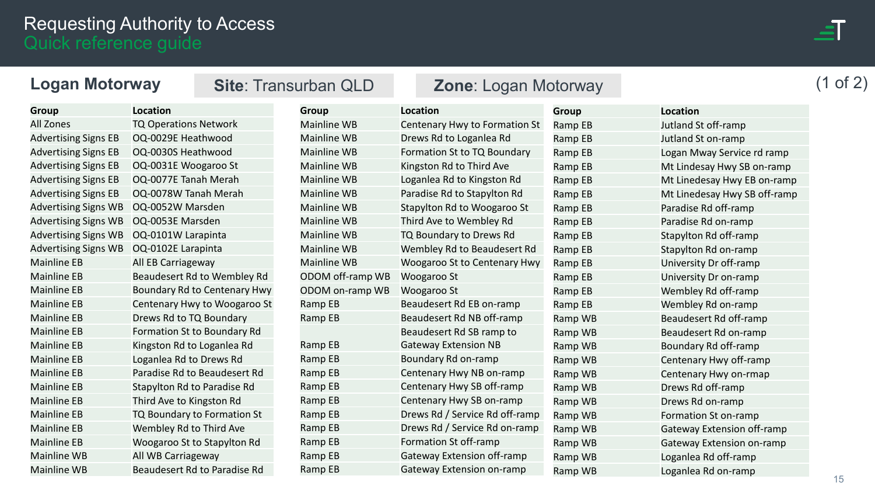

<span id="page-14-0"></span>

| <b>Logan Motorway</b>       |                              |                              | <b>Site: Transurban QLD</b> | <b>Zone: Logan Motorway</b>       |              |                              | of $2)$ |
|-----------------------------|------------------------------|------------------------------|-----------------------------|-----------------------------------|--------------|------------------------------|---------|
| <b>Group</b>                | <b>Location</b>              |                              | <b>Group</b>                | Location                          | <b>Group</b> | <b>Location</b>              |         |
| All Zones                   | <b>TQ Operations Network</b> |                              | <b>Mainline WB</b>          | Centenary Hwy to Formation St     | Ramp EB      | Jutland St off-ramp          |         |
| <b>Advertising Signs EB</b> | OQ-0029E Heathwood           |                              | <b>Mainline WB</b>          | Drews Rd to Loganlea Rd           | Ramp EB      | Jutland St on-ramp           |         |
| <b>Advertising Signs EB</b> | OQ-0030S Heathwood           |                              | <b>Mainline WB</b>          | Formation St to TQ Boundary       | Ramp EB      | Logan Mway Service rd ramp   |         |
| <b>Advertising Signs EB</b> | OQ-0031E Woogaroo St         |                              | <b>Mainline WB</b>          | Kingston Rd to Third Ave          | Ramp EB      | Mt Lindesay Hwy SB on-ramp   |         |
| <b>Advertising Signs EB</b> | OQ-0077E Tanah Merah         |                              | <b>Mainline WB</b>          | Loganlea Rd to Kingston Rd        | Ramp EB      | Mt Linedesay Hwy EB on-ramp  |         |
| <b>Advertising Signs EB</b> | OQ-0078W Tanah Merah         |                              | <b>Mainline WB</b>          | Paradise Rd to Stapylton Rd       | Ramp EB      | Mt Linedesay Hwy SB off-ramp |         |
| <b>Advertising Signs WB</b> | OQ-0052W Marsden             |                              | <b>Mainline WB</b>          | Stapylton Rd to Woogaroo St       | Ramp EB      | Paradise Rd off-ramp         |         |
| <b>Advertising Signs WB</b> | OQ-0053E Marsden             |                              | <b>Mainline WB</b>          | Third Ave to Wembley Rd           | Ramp EB      | Paradise Rd on-ramp          |         |
| <b>Advertising Signs WB</b> | OQ-0101W Larapinta           |                              | <b>Mainline WB</b>          | TQ Boundary to Drews Rd           | Ramp EB      | Stapylton Rd off-ramp        |         |
| <b>Advertising Signs WB</b> | OQ-0102E Larapinta           |                              | <b>Mainline WB</b>          | Wembley Rd to Beaudesert Rd       | Ramp EB      | Stapylton Rd on-ramp         |         |
| <b>Mainline EB</b>          | All EB Carriageway           |                              | <b>Mainline WB</b>          | Woogaroo St to Centenary Hwy      | Ramp EB      | University Dr off-ramp       |         |
| <b>Mainline EB</b>          |                              | Beaudesert Rd to Wembley Rd  | ODOM off-ramp WB            | Woogaroo St                       | Ramp EB      | University Dr on-ramp        |         |
| <b>Mainline EB</b>          |                              | Boundary Rd to Centenary Hwy | ODOM on-ramp WB             | Woogaroo St                       | Ramp EB      | Wembley Rd off-ramp          |         |
| <b>Mainline EB</b>          |                              | Centenary Hwy to Woogaroo St | Ramp EB                     | Beaudesert Rd EB on-ramp          | Ramp EB      | Wembley Rd on-ramp           |         |
| <b>Mainline EB</b>          | Drews Rd to TQ Boundary      |                              | Ramp EB                     | Beaudesert Rd NB off-ramp         | Ramp WB      | Beaudesert Rd off-ramp       |         |
| <b>Mainline EB</b>          |                              | Formation St to Boundary Rd  |                             | Beaudesert Rd SB ramp to          | Ramp WB      | Beaudesert Rd on-ramp        |         |
| <b>Mainline EB</b>          |                              | Kingston Rd to Loganlea Rd   | Ramp EB                     | <b>Gateway Extension NB</b>       | Ramp WB      | Boundary Rd off-ramp         |         |
| <b>Mainline EB</b>          | Loganlea Rd to Drews Rd      |                              | Ramp EB                     | Boundary Rd on-ramp               | Ramp WB      | Centenary Hwy off-ramp       |         |
| <b>Mainline EB</b>          |                              | Paradise Rd to Beaudesert Rd | Ramp EB                     | Centenary Hwy NB on-ramp          | Ramp WB      | Centenary Hwy on-rmap        |         |
| <b>Mainline EB</b>          |                              | Stapylton Rd to Paradise Rd  | Ramp EB                     | Centenary Hwy SB off-ramp         | Ramp WB      | Drews Rd off-ramp            |         |
| <b>Mainline EB</b>          | Third Ave to Kingston Rd     |                              | Ramp EB                     | Centenary Hwy SB on-ramp          | Ramp WB      | Drews Rd on-ramp             |         |
| <b>Mainline EB</b>          |                              | TQ Boundary to Formation St  | Ramp EB                     | Drews Rd / Service Rd off-ramp    | Ramp WB      | Formation St on-ramp         |         |
| <b>Mainline EB</b>          | Wembley Rd to Third Ave      |                              | Ramp EB                     | Drews Rd / Service Rd on-ramp     | Ramp WB      | Gateway Extension off-ramp   |         |
| <b>Mainline EB</b>          |                              | Woogaroo St to Stapylton Rd  | Ramp EB                     | Formation St off-ramp             | Ramp WB      | Gateway Extension on-ramp    |         |
| <b>Mainline WB</b>          | All WB Carriageway           |                              | Ramp EB                     | <b>Gateway Extension off-ramp</b> | Ramp WB      | Loganlea Rd off-ramp         |         |
| <b>Mainline WB</b>          |                              | Beaudesert Rd to Paradise Rd | Ramp EB                     | <b>Gateway Extension on-ramp</b>  | Ramp WB      | Loganlea Rd on-ramp          |         |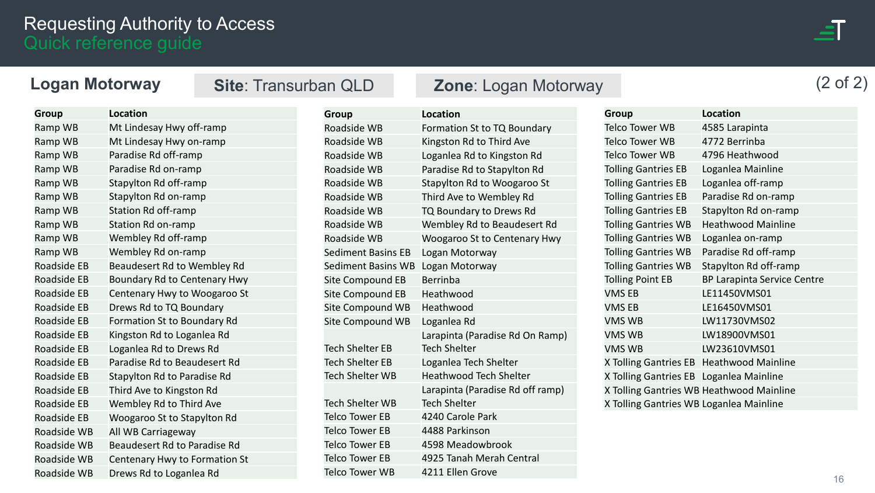#### **Logan Motorway** (2 of 2) **Site**: Transurban QLD **Zone**: Logan Motorway

| Group              | <b>Location</b>                     |
|--------------------|-------------------------------------|
| Ramp WB            | Mt Lindesay Hwy off-ramp            |
| Ramp WB            | Mt Lindesay Hwy on-ramp             |
| Ramp WB            | Paradise Rd off-ramp                |
| Ramp WB            | Paradise Rd on-ramp                 |
| Ramp WB            | Stapylton Rd off-ramp               |
| Ramp WB            | Stapylton Rd on-ramp                |
| Ramp WB            | Station Rd off-ramp                 |
| Ramp WB            | <b>Station Rd on-ramp</b>           |
| Ramp WB            | Wembley Rd off-ramp                 |
| Ramp WB            | Wembley Rd on-ramp                  |
| <b>Roadside EB</b> | Beaudesert Rd to Wembley Rd         |
| Roadside EB        | Boundary Rd to Centenary Hwy        |
| Roadside EB        | Centenary Hwy to Woogaroo St        |
| <b>Roadside EB</b> | Drews Rd to TQ Boundary             |
| Roadside EB        | Formation St to Boundary Rd         |
| <b>Roadside EB</b> | Kingston Rd to Loganlea Rd          |
| Roadside EB        | Loganlea Rd to Drews Rd             |
| <b>Roadside EB</b> | Paradise Rd to Beaudesert Rd        |
| <b>Roadside EB</b> | Stapylton Rd to Paradise Rd         |
| Roadside EB        | Third Ave to Kingston Rd            |
| <b>Roadside EB</b> | Wembley Rd to Third Ave             |
| Roadside EB        | Woogaroo St to Stapylton Rd         |
| Roadside WB        | All WB Carriageway                  |
| <b>Roadside WB</b> | <b>Beaudesert Rd to Paradise Rd</b> |
| Roadside WB        | Centenary Hwy to Formation St       |
| Roadside WB        | Drews Rd to Loganlea Rd             |

| Group                     | Location                                               |
|---------------------------|--------------------------------------------------------|
| Roadside WB               | Formation St to TQ Boundary                            |
| Roadside WB               | Kingston Rd to Third Ave                               |
| Roadside WB               | Loganlea Rd to Kingston Rd                             |
| Roadside WB               | Paradise Rd to Stapylton Rd                            |
| <b>Roadside WB</b>        | Stapylton Rd to Woogaroo St                            |
| Roadside WB               | Third Ave to Wembley Rd                                |
| Roadside WB               | TQ Boundary to Drews Rd                                |
| Roadside WB               | Wembley Rd to Beaudesert Rd                            |
| Roadside WB               | <b>Woogaroo St to Centenary Hwy</b>                    |
| <b>Sediment Basins EB</b> | Logan Motorway                                         |
| Sediment Basins WB        | Logan Motorway                                         |
| Site Compound EB          | <b>Berrinba</b>                                        |
| <b>Site Compound EB</b>   | Heathwood                                              |
| Site Compound WB          | Heathwood                                              |
| <b>Site Compound WB</b>   | Loganlea Rd                                            |
| <b>Tech Shelter EB</b>    | Larapinta (Paradise Rd On Ramp)<br><b>Tech Shelter</b> |
| <b>Tech Shelter EB</b>    | Loganlea Tech Shelter                                  |
| <b>Tech Shelter WB</b>    | <b>Heathwood Tech Shelter</b>                          |
|                           | Larapinta (Paradise Rd off ramp)                       |
| <b>Tech Shelter WB</b>    | <b>Tech Shelter</b>                                    |
| <b>Telco Tower EB</b>     | 4240 Carole Park                                       |
| <b>Telco Tower EB</b>     | 4488 Parkinson                                         |
| Telco Tower EB            | 4598 Meadowbrook                                       |
| Telco Tower EB            | 4925 Tanah Merah Central                               |
| <b>Telco Tower WB</b>     | 4211 Ellen Grove                                       |

| Group                                    | <b>Location</b>                    |
|------------------------------------------|------------------------------------|
| Telco Tower WB                           | 4585 Larapinta                     |
| Telco Tower WB                           | 4772 Berrinba                      |
| Telco Tower WB                           | 4796 Heathwood                     |
| <b>Tolling Gantries EB</b>               | Loganlea Mainline                  |
| <b>Tolling Gantries EB</b>               | Loganlea off-ramp                  |
| <b>Tolling Gantries EB</b>               | Paradise Rd on-ramp                |
| <b>Tolling Gantries EB</b>               | Stapylton Rd on-ramp               |
| <b>Tolling Gantries WB</b>               | <b>Heathwood Mainline</b>          |
| <b>Tolling Gantries WB</b>               | Loganlea on-ramp                   |
| <b>Tolling Gantries WB</b>               | Paradise Rd off-ramp               |
| <b>Tolling Gantries WB</b>               | Stapylton Rd off-ramp              |
| <b>Tolling Point EB</b>                  | <b>BP Larapinta Service Centre</b> |
| <b>VMSEB</b>                             | LE11450VMS01                       |
| VMS EB                                   | LE16450VMS01                       |
| VMS WB                                   | LW11730VMS02                       |
| VMS WB                                   | LW18900VMS01                       |
| VMS WB                                   | LW23610VMS01                       |
| X Tolling Gantries EB Heathwood Mainline |                                    |
| X Tolling Gantries EB Loganlea Mainline  |                                    |
| X Tolling Gantries WB Heathwood Mainline |                                    |
| X Tolling Gantries WB Loganlea Mainline  |                                    |
|                                          |                                    |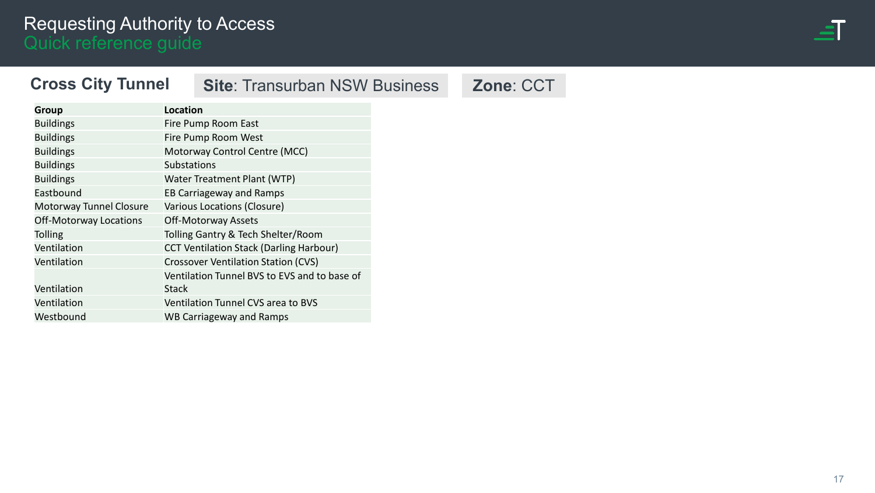

#### <span id="page-16-0"></span>**Cross City Tunnel**

### **Site: Transurban NSW Business <b>Zone: CCT**

| <b>Group</b>                  | <b>Location</b>                                |
|-------------------------------|------------------------------------------------|
| <b>Buildings</b>              | Fire Pump Room East                            |
| <b>Buildings</b>              | Fire Pump Room West                            |
| <b>Buildings</b>              | Motorway Control Centre (MCC)                  |
| <b>Buildings</b>              | <b>Substations</b>                             |
| <b>Buildings</b>              | Water Treatment Plant (WTP)                    |
| Eastbound                     | <b>EB Carriageway and Ramps</b>                |
| Motorway Tunnel Closure       | Various Locations (Closure)                    |
| <b>Off-Motorway Locations</b> | <b>Off-Motorway Assets</b>                     |
| <b>Tolling</b>                | Tolling Gantry & Tech Shelter/Room             |
| Ventilation                   | <b>CCT Ventilation Stack (Darling Harbour)</b> |
| Ventilation                   | <b>Crossover Ventilation Station (CVS)</b>     |
|                               | Ventilation Tunnel BVS to EVS and to base of   |
| Ventilation                   | Stack                                          |
| Ventilation                   | Ventilation Tunnel CVS area to BVS             |
| Westbound                     | WB Carriageway and Ramps                       |
|                               |                                                |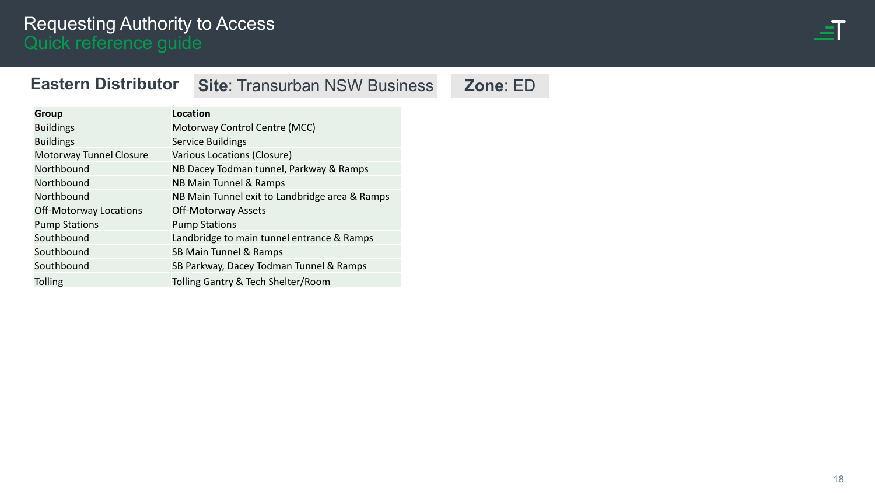

#### <span id="page-17-0"></span>**Eastern Distributor**

**Site: Transurban NSW Business Zone: ED** 

| <b>Group</b>                  | <b>Location</b>                                |
|-------------------------------|------------------------------------------------|
| <b>Buildings</b>              | Motorway Control Centre (MCC)                  |
| <b>Buildings</b>              | Service Buildings                              |
| Motorway Tunnel Closure       | Various Locations (Closure)                    |
| Northbound                    | NB Dacey Todman tunnel, Parkway & Ramps        |
| Northbound                    | NB Main Tunnel & Ramps                         |
| Northbound                    | NB Main Tunnel exit to Landbridge area & Ramps |
| <b>Off-Motorway Locations</b> | <b>Off-Motorway Assets</b>                     |
| <b>Pump Stations</b>          | <b>Pump Stations</b>                           |
| Southbound                    | Landbridge to main tunnel entrance & Ramps     |
| Southbound                    | SB Main Tunnel & Ramps                         |
| Southbound                    | SB Parkway, Dacey Todman Tunnel & Ramps        |
| <b>Tolling</b>                | Tolling Gantry & Tech Shelter/Room             |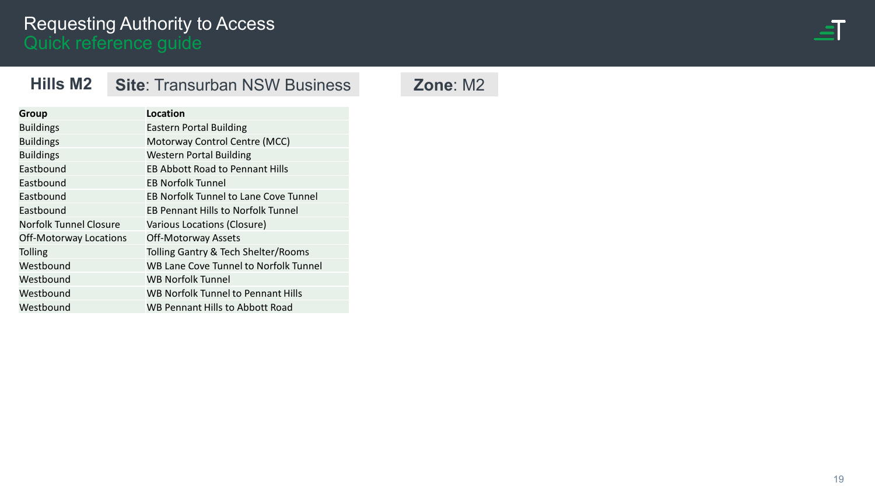

#### <span id="page-18-0"></span>**Hills M2 Site**: Transurban NSW Business **Zone**: M2

| <b>Group</b>                  | Location                                  |
|-------------------------------|-------------------------------------------|
| <b>Buildings</b>              | <b>Eastern Portal Building</b>            |
| <b>Buildings</b>              | Motorway Control Centre (MCC)             |
| <b>Buildings</b>              | <b>Western Portal Building</b>            |
| Eastbound                     | <b>EB Abbott Road to Pennant Hills</b>    |
| Eastbound                     | <b>EB Norfolk Tunnel</b>                  |
| Eastbound                     | EB Norfolk Tunnel to Lane Cove Tunnel     |
| Eastbound                     | <b>EB Pennant Hills to Norfolk Tunnel</b> |
| <b>Norfolk Tunnel Closure</b> | Various Locations (Closure)               |
| Off-Motorway Locations        | <b>Off-Motorway Assets</b>                |
| Tolling                       | Tolling Gantry & Tech Shelter/Rooms       |
| Westbound                     | WB Lane Cove Tunnel to Norfolk Tunnel     |
| Westbound                     | <b>WB Norfolk Tunnel</b>                  |
| Westbound                     | WB Norfolk Tunnel to Pennant Hills        |
| Westbound                     | <b>WB Pennant Hills to Abbott Road</b>    |
|                               |                                           |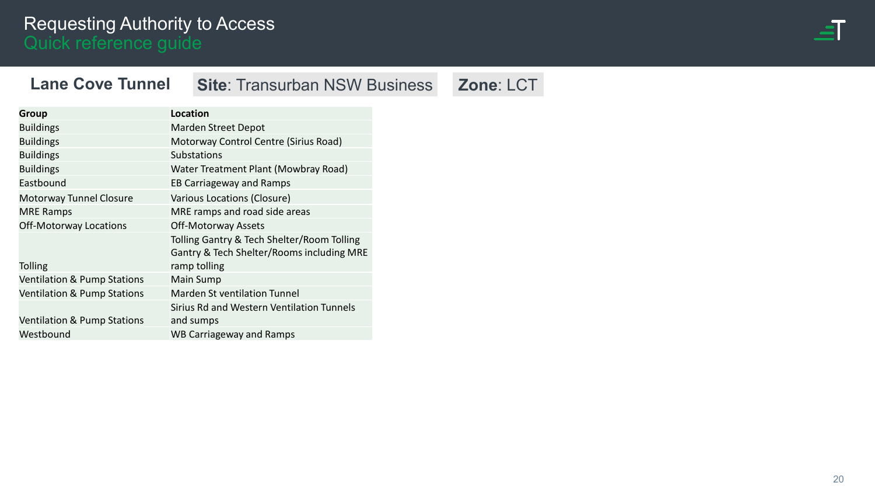

#### <span id="page-19-0"></span>**Lane Cove Tunnel**

## **Site: Transurban NSW Business Zone: LCT**

| Group                                  | Location                                                                                                |
|----------------------------------------|---------------------------------------------------------------------------------------------------------|
| <b>Buildings</b>                       | <b>Marden Street Depot</b>                                                                              |
| <b>Buildings</b>                       | Motorway Control Centre (Sirius Road)                                                                   |
| <b>Buildings</b>                       | <b>Substations</b>                                                                                      |
| <b>Buildings</b>                       | Water Treatment Plant (Mowbray Road)                                                                    |
| Eastbound                              | <b>EB Carriageway and Ramps</b>                                                                         |
| Motorway Tunnel Closure                | Various Locations (Closure)                                                                             |
| <b>MRE Ramps</b>                       | MRE ramps and road side areas                                                                           |
| Off-Motorway Locations                 | <b>Off-Motorway Assets</b>                                                                              |
| <b>Tolling</b>                         | Tolling Gantry & Tech Shelter/Room Tolling<br>Gantry & Tech Shelter/Rooms including MRE<br>ramp tolling |
| <b>Ventilation &amp; Pump Stations</b> | <b>Main Sump</b>                                                                                        |
| <b>Ventilation &amp; Pump Stations</b> | <b>Marden St ventilation Tunnel</b>                                                                     |
| <b>Ventilation &amp; Pump Stations</b> | Sirius Rd and Western Ventilation Tunnels<br>and sumps                                                  |
| Westbound                              | <b>WB Carriageway and Ramps</b>                                                                         |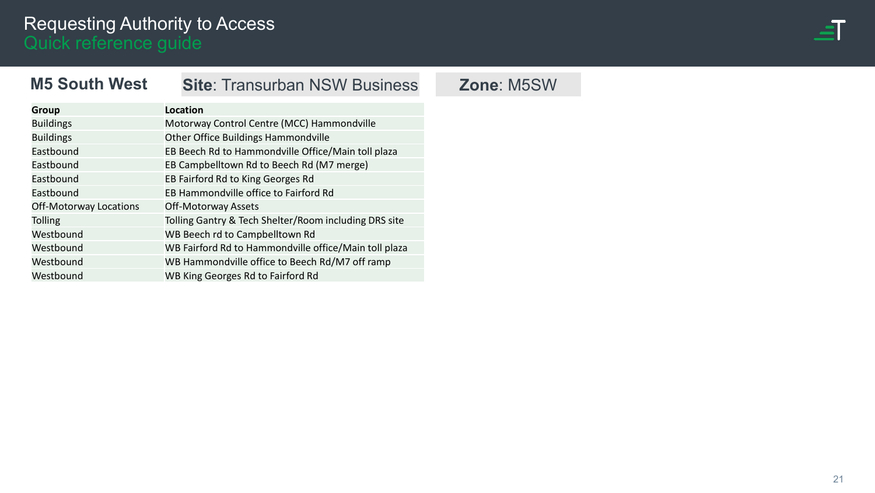

#### <span id="page-20-0"></span>**M5 South West**

#### **Site**: Transurban NSW Business **Zone**: M5SW

| <b>Group</b>           | Location                                              |
|------------------------|-------------------------------------------------------|
| <b>Buildings</b>       | Motorway Control Centre (MCC) Hammondville            |
| <b>Buildings</b>       | Other Office Buildings Hammondville                   |
| Eastbound              | EB Beech Rd to Hammondville Office/Main toll plaza    |
| Eastbound              | EB Campbelltown Rd to Beech Rd (M7 merge)             |
| Eastbound              | EB Fairford Rd to King Georges Rd                     |
| Eastbound              | EB Hammondville office to Fairford Rd                 |
| Off-Motorway Locations | <b>Off-Motorway Assets</b>                            |
| <b>Tolling</b>         | Tolling Gantry & Tech Shelter/Room including DRS site |
| Westbound              | WB Beech rd to Campbelltown Rd                        |
| Westbound              | WB Fairford Rd to Hammondville office/Main toll plaza |
| Westbound              | WB Hammondville office to Beech Rd/M7 off ramp        |
| Westbound              | WB King Georges Rd to Fairford Rd                     |
|                        |                                                       |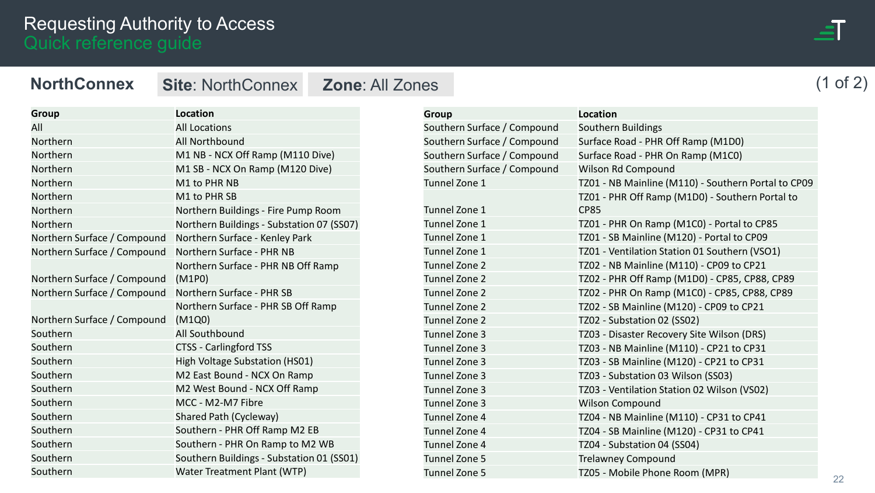#### <span id="page-21-0"></span>**NorthConnex**

**Site**: NorthConnex **Zone**: All Zones

| <b>Group</b>                | <b>Location</b>                           |
|-----------------------------|-------------------------------------------|
| All                         | <b>All Locations</b>                      |
| Northern                    | All Northbound                            |
| Northern                    | M1 NB - NCX Off Ramp (M110 Dive)          |
| Northern                    | M1 SB - NCX On Ramp (M120 Dive)           |
| Northern                    | M1 to PHR NB                              |
| Northern                    | M1 to PHR SB                              |
| Northern                    | Northern Buildings - Fire Pump Room       |
| Northern                    | Northern Buildings - Substation 07 (SS07) |
| Northern Surface / Compound | Northern Surface - Kenley Park            |
| Northern Surface / Compound | Northern Surface - PHR NB                 |
|                             | Northern Surface - PHR NB Off Ramp        |
| Northern Surface / Compound | (M1P0)                                    |
| Northern Surface / Compound | Northern Surface - PHR SB                 |
|                             | Northern Surface - PHR SB Off Ramp        |
| Northern Surface / Compound | (M1Q0)                                    |
| Southern                    | All Southbound                            |
| Southern                    | <b>CTSS - Carlingford TSS</b>             |
| Southern                    | High Voltage Substation (HS01)            |
| Southern                    | M2 East Bound - NCX On Ramp               |
| Southern                    | M2 West Bound - NCX Off Ramp              |
| Southern                    | MCC - M2-M7 Fibre                         |
| Southern                    | Shared Path (Cycleway)                    |
| Southern                    | Southern - PHR Off Ramp M2 EB             |
| Southern                    | Southern - PHR On Ramp to M2 WB           |
| Southern                    | Southern Buildings - Substation 01 (SS01) |
| Southern                    | Water Treatment Plant (WTP)               |

| <b>Group</b>                | Location                                            |
|-----------------------------|-----------------------------------------------------|
| Southern Surface / Compound | Southern Buildings                                  |
| Southern Surface / Compound | Surface Road - PHR Off Ramp (M1D0)                  |
| Southern Surface / Compound | Surface Road - PHR On Ramp (M1C0)                   |
| Southern Surface / Compound | <b>Wilson Rd Compound</b>                           |
| Tunnel Zone 1               | TZ01 - NB Mainline (M110) - Southern Portal to CP09 |
|                             | TZ01 - PHR Off Ramp (M1D0) - Southern Portal to     |
| Tunnel Zone 1               | CP85                                                |
| Tunnel Zone 1               | TZ01 - PHR On Ramp (M1C0) - Portal to CP85          |
| Tunnel Zone 1               | TZ01 - SB Mainline (M120) - Portal to CP09          |
| Tunnel Zone 1               | TZ01 - Ventilation Station 01 Southern (VSO1)       |
| Tunnel Zone 2               | TZ02 - NB Mainline (M110) - CP09 to CP21            |
| Tunnel Zone 2               | TZ02 - PHR Off Ramp (M1D0) - CP85, CP88, CP89       |
| Tunnel Zone 2               | TZ02 - PHR On Ramp (M1C0) - CP85, CP88, CP89        |
| Tunnel Zone 2               | TZ02 - SB Mainline (M120) - CP09 to CP21            |
| Tunnel Zone 2               | TZ02 - Substation 02 (SS02)                         |
| Tunnel Zone 3               | TZ03 - Disaster Recovery Site Wilson (DRS)          |
| Tunnel Zone 3               | TZ03 - NB Mainline (M110) - CP21 to CP31            |
| Tunnel Zone 3               | TZ03 - SB Mainline (M120) - CP21 to CP31            |
| Tunnel Zone 3               | TZ03 - Substation 03 Wilson (SS03)                  |
| Tunnel Zone 3               | TZ03 - Ventilation Station 02 Wilson (VS02)         |
| Tunnel Zone 3               | <b>Wilson Compound</b>                              |
| Tunnel Zone 4               | TZ04 - NB Mainline (M110) - CP31 to CP41            |
| Tunnel Zone 4               | TZ04 - SB Mainline (M120) - CP31 to CP41            |
| Tunnel Zone 4               | TZ04 - Substation 04 (SS04)                         |
| Tunnel Zone 5               | <b>Trelawney Compound</b>                           |
| Tunnel Zone 5               | TZ05 - Mobile Phone Room (MPR)                      |

# (1 of 2)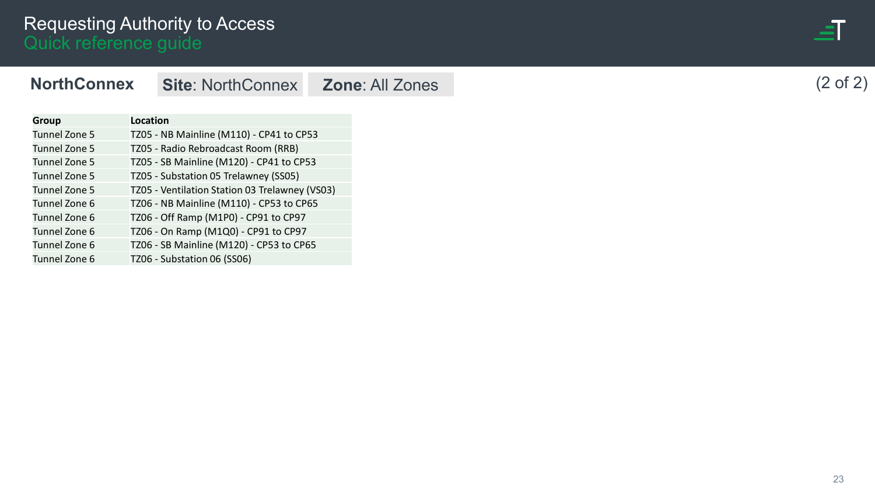| <b>Service Service</b><br><b>Contract Contract Contract Contract Contract Contract Contract Contract Contract Contract Contract Contract Co</b><br>____<br>- |  |
|--------------------------------------------------------------------------------------------------------------------------------------------------------------|--|
| ____<br>______<br><b>Service Service</b>                                                                                                                     |  |
|                                                                                                                                                              |  |

(2 of 2)

| <b>Group</b>  | Location |                                                |  |
|---------------|----------|------------------------------------------------|--|
| Tunnel Zone 5 |          | TZ05 - NB Mainline (M110) - CP41 to CP53       |  |
| Tunnel Zone 5 |          | TZ05 - Radio Rebroadcast Room (RRB)            |  |
| Tunnel Zone 5 |          | TZ05 - SB Mainline (M120) - CP41 to CP53       |  |
| Tunnel Zone 5 |          | TZ05 - Substation 05 Trelawney (SS05)          |  |
| Tunnel Zone 5 |          | TZ05 - Ventilation Station 03 Trelawney (VS03) |  |
| Tunnel Zone 6 |          | TZ06 - NB Mainline (M110) - CP53 to CP65       |  |
| Tunnel Zone 6 |          | TZ06 - Off Ramp (M1P0) - CP91 to CP97          |  |
| Tunnel Zone 6 |          | TZ06 - On Ramp (M1Q0) - CP91 to CP97           |  |
| Tunnel Zone 6 |          | TZ06 - SB Mainline (M120) - CP53 to CP65       |  |
| Tunnel Zone 6 |          | TZ06 - Substation 06 (SS06)                    |  |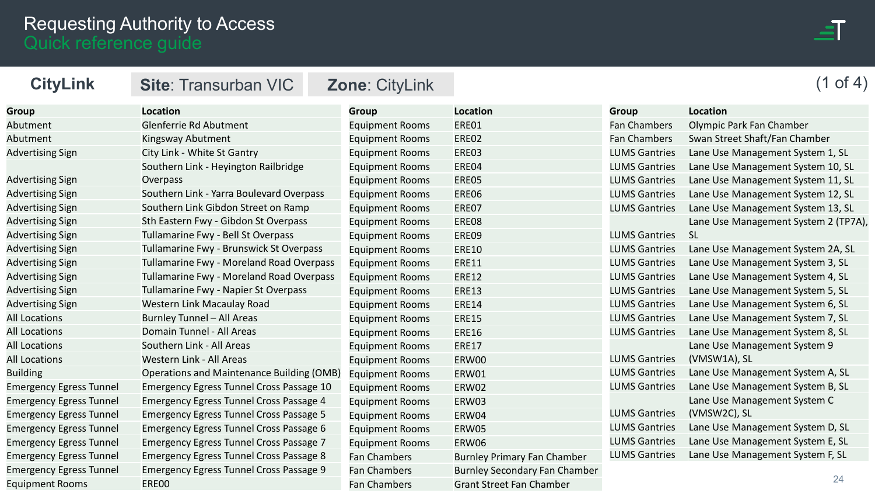

<span id="page-23-0"></span>

| <b>CityLink</b>                | <b>Site: Transurban VIC</b>                     | <b>Zone: CityLink</b>  |                                      |                      | of $4)$                              |
|--------------------------------|-------------------------------------------------|------------------------|--------------------------------------|----------------------|--------------------------------------|
| <b>Group</b>                   | <b>Location</b>                                 | <b>Group</b>           | Location                             | <b>Group</b>         | Location                             |
| Abutment                       | Glenferrie Rd Abutment                          | <b>Equipment Rooms</b> | ERE01                                | <b>Fan Chambers</b>  | Olympic Park Fan Chamber             |
| Abutment                       | Kingsway Abutment                               | <b>Equipment Rooms</b> | ERE02                                | <b>Fan Chambers</b>  | Swan Street Shaft/Fan Chamber        |
| <b>Advertising Sign</b>        | City Link - White St Gantry                     | <b>Equipment Rooms</b> | ERE03                                | <b>LUMS Gantries</b> | Lane Use Management System 1, SL     |
|                                | Southern Link - Heyington Railbridge            | <b>Equipment Rooms</b> | ERE04                                | <b>LUMS Gantries</b> | Lane Use Management System 10, SL    |
| <b>Advertising Sign</b>        | Overpass                                        | <b>Equipment Rooms</b> | ERE05                                | <b>LUMS Gantries</b> | Lane Use Management System 11, SL    |
| <b>Advertising Sign</b>        | Southern Link - Yarra Boulevard Overpass        | <b>Equipment Rooms</b> | ERE06                                | <b>LUMS Gantries</b> | Lane Use Management System 12, SL    |
| <b>Advertising Sign</b>        | Southern Link Gibdon Street on Ramp             | <b>Equipment Rooms</b> | ERE07                                | <b>LUMS Gantries</b> | Lane Use Management System 13, SL    |
| <b>Advertising Sign</b>        | Sth Eastern Fwy - Gibdon St Overpass            | <b>Equipment Rooms</b> | ERE08                                |                      | Lane Use Management System 2 (TP7A), |
| <b>Advertising Sign</b>        | Tullamarine Fwy - Bell St Overpass              | <b>Equipment Rooms</b> | ERE09                                | <b>LUMS Gantries</b> | <b>SL</b>                            |
| <b>Advertising Sign</b>        | Tullamarine Fwy - Brunswick St Overpass         | <b>Equipment Rooms</b> | <b>ERE10</b>                         | <b>LUMS Gantries</b> | Lane Use Management System 2A, SL    |
| <b>Advertising Sign</b>        | Tullamarine Fwy - Moreland Road Overpass        | <b>Equipment Rooms</b> | <b>ERE11</b>                         | <b>LUMS Gantries</b> | Lane Use Management System 3, SL     |
| <b>Advertising Sign</b>        | Tullamarine Fwy - Moreland Road Overpass        | <b>Equipment Rooms</b> | <b>ERE12</b>                         | <b>LUMS Gantries</b> | Lane Use Management System 4, SL     |
| <b>Advertising Sign</b>        | Tullamarine Fwy - Napier St Overpass            | <b>Equipment Rooms</b> | <b>ERE13</b>                         | <b>LUMS Gantries</b> | Lane Use Management System 5, SL     |
| <b>Advertising Sign</b>        | Western Link Macaulay Road                      | <b>Equipment Rooms</b> | <b>ERE14</b>                         | <b>LUMS Gantries</b> | Lane Use Management System 6, SL     |
| <b>All Locations</b>           | Burnley Tunnel - All Areas                      | <b>Equipment Rooms</b> | <b>ERE15</b>                         | <b>LUMS Gantries</b> | Lane Use Management System 7, SL     |
| <b>All Locations</b>           | Domain Tunnel - All Areas                       | <b>Equipment Rooms</b> | <b>ERE16</b>                         | <b>LUMS Gantries</b> | Lane Use Management System 8, SL     |
| <b>All Locations</b>           | Southern Link - All Areas                       | <b>Equipment Rooms</b> | <b>ERE17</b>                         |                      | Lane Use Management System 9         |
| <b>All Locations</b>           | Western Link - All Areas                        | <b>Equipment Rooms</b> | ERW00                                | <b>LUMS Gantries</b> | (VMSW1A), SL                         |
| <b>Building</b>                | Operations and Maintenance Building (OMB)       | <b>Equipment Rooms</b> | ERW01                                | <b>LUMS Gantries</b> | Lane Use Management System A, SL     |
| <b>Emergency Egress Tunnel</b> | <b>Emergency Egress Tunnel Cross Passage 10</b> | <b>Equipment Rooms</b> | ERW02                                | <b>LUMS Gantries</b> | Lane Use Management System B, SL     |
| <b>Emergency Egress Tunnel</b> | <b>Emergency Egress Tunnel Cross Passage 4</b>  | <b>Equipment Rooms</b> | ERW03                                |                      | Lane Use Management System C         |
| <b>Emergency Egress Tunnel</b> | <b>Emergency Egress Tunnel Cross Passage 5</b>  | <b>Equipment Rooms</b> | ERW04                                | <b>LUMS Gantries</b> | (VMSW2C), SL                         |
| <b>Emergency Egress Tunnel</b> | <b>Emergency Egress Tunnel Cross Passage 6</b>  | <b>Equipment Rooms</b> | ERW05                                | <b>LUMS Gantries</b> | Lane Use Management System D, SL     |
| <b>Emergency Egress Tunnel</b> | <b>Emergency Egress Tunnel Cross Passage 7</b>  | <b>Equipment Rooms</b> | ERW06                                | <b>LUMS Gantries</b> | Lane Use Management System E, SL     |
| <b>Emergency Egress Tunnel</b> | <b>Emergency Egress Tunnel Cross Passage 8</b>  | <b>Fan Chambers</b>    | <b>Burnley Primary Fan Chamber</b>   | <b>LUMS Gantries</b> | Lane Use Management System F, SL     |
| <b>Emergency Egress Tunnel</b> | <b>Emergency Egress Tunnel Cross Passage 9</b>  | <b>Fan Chambers</b>    | <b>Burnley Secondary Fan Chamber</b> |                      |                                      |
| <b>Equipment Rooms</b>         | ERE00                                           | <b>Fan Chambers</b>    | <b>Grant Street Fan Chamber</b>      |                      | 24                                   |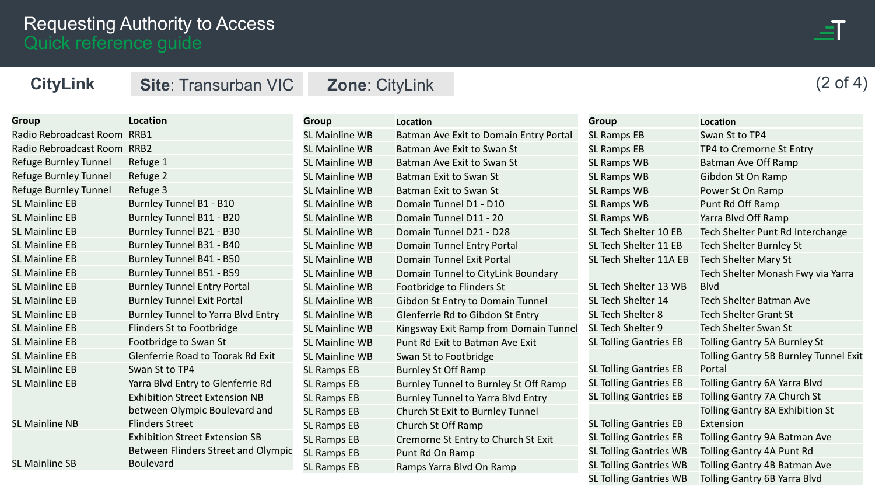

SL Tolling Gantries WB Tolling Gantry 6B Yarra Blvd

| <b>CityLink</b>        | <b>Site: Transurban VIC</b>           | <b>Zone: CityLink</b> |                                        |                               | (2 of 4)                                     |
|------------------------|---------------------------------------|-----------------------|----------------------------------------|-------------------------------|----------------------------------------------|
|                        |                                       |                       |                                        |                               |                                              |
| <b>Group</b>           | <b>Location</b>                       | <b>Group</b>          | <b>Location</b>                        | <b>Group</b>                  | <b>Location</b>                              |
| Radio Rebroadcast Room | RRB1                                  | <b>SL Mainline WB</b> | Batman Ave Exit to Domain Entry Portal | <b>SL Ramps EB</b>            | Swan St to TP4                               |
| Radio Rebroadcast Room | RRB <sub>2</sub>                      | <b>SL Mainline WB</b> | Batman Ave Exit to Swan St             | <b>SL Ramps EB</b>            | TP4 to Cremorne St Entry                     |
| Refuge Burnley Tunnel  | Refuge 1                              | <b>SL Mainline WB</b> | Batman Ave Exit to Swan St             | SL Ramps WB                   | Batman Ave Off Ramp                          |
| Refuge Burnley Tunnel  | Refuge 2                              | <b>SL Mainline WB</b> | Batman Exit to Swan St                 | SL Ramps WB                   | Gibdon St On Ramp                            |
| Refuge Burnley Tunnel  | Refuge 3                              | <b>SL Mainline WB</b> | Batman Exit to Swan St                 | SL Ramps WB                   | Power St On Ramp                             |
| <b>SL Mainline EB</b>  | Burnley Tunnel B1 - B10               | SL Mainline WB        | Domain Tunnel D1 - D10                 | SL Ramps WB                   | Punt Rd Off Ramp                             |
| <b>SL Mainline EB</b>  | Burnley Tunnel B11 - B20              | <b>SL Mainline WB</b> | Domain Tunnel D11 - 20                 | <b>SL Ramps WB</b>            | Yarra Blvd Off Ramp                          |
| <b>SL Mainline EB</b>  | Burnley Tunnel B21 - B30              | <b>SL Mainline WB</b> | Domain Tunnel D21 - D28                | SL Tech Shelter 10 EB         | Tech Shelter Punt Rd Interchange             |
| <b>SL Mainline EB</b>  | Burnley Tunnel B31 - B40              | <b>SL Mainline WB</b> | Domain Tunnel Entry Portal             | SL Tech Shelter 11 EB         | <b>Tech Shelter Burnley St</b>               |
| <b>SL Mainline EB</b>  | Burnley Tunnel B41 - B50              | <b>SL Mainline WB</b> | Domain Tunnel Exit Portal              | SL Tech Shelter 11A EB        | <b>Tech Shelter Mary St</b>                  |
| <b>SL Mainline EB</b>  | Burnley Tunnel B51 - B59              | SL Mainline WB        | Domain Tunnel to CityLink Boundary     |                               | Tech Shelter Monash Fwy via Yarra            |
| <b>SL Mainline EB</b>  | <b>Burnley Tunnel Entry Portal</b>    | SL Mainline WB        | Footbridge to Flinders St              | SL Tech Shelter 13 WB         | <b>Blvd</b>                                  |
| <b>SL Mainline EB</b>  | <b>Burnley Tunnel Exit Portal</b>     | <b>SL Mainline WB</b> | Gibdon St Entry to Domain Tunnel       | SL Tech Shelter 14            | <b>Tech Shelter Batman Ave</b>               |
| <b>SL Mainline EB</b>  | Burnley Tunnel to Yarra Blvd Entry    | <b>SL Mainline WB</b> | Glenferrie Rd to Gibdon St Entry       | SL Tech Shelter 8             | <b>Tech Shelter Grant St</b>                 |
| <b>SL Mainline EB</b>  | Flinders St to Footbridge             | SL Mainline WB        | Kingsway Exit Ramp from Domain Tunnel  | SL Tech Shelter 9             | <b>Tech Shelter Swan St</b>                  |
| <b>SL Mainline EB</b>  | Footbridge to Swan St                 | <b>SL Mainline WB</b> | Punt Rd Exit to Batman Ave Exit        | <b>SL Tolling Gantries EB</b> | Tolling Gantry 5A Burnley St                 |
| <b>SL Mainline EB</b>  | Glenferrie Road to Toorak Rd Exit     | <b>SL Mainline WB</b> | Swan St to Footbridge                  |                               | <b>Tolling Gantry 5B Burnley Tunnel Exit</b> |
| <b>SL Mainline EB</b>  | Swan St to TP4                        | <b>SL Ramps EB</b>    | <b>Burnley St Off Ramp</b>             | <b>SL Tolling Gantries EB</b> | Portal                                       |
| <b>SL Mainline EB</b>  | Yarra Blvd Entry to Glenferrie Rd     | <b>SL Ramps EB</b>    | Burnley Tunnel to Burnley St Off Ramp  | <b>SL Tolling Gantries EB</b> | Tolling Gantry 6A Yarra Blvd                 |
|                        | <b>Exhibition Street Extension NB</b> | <b>SL Ramps EB</b>    | Burnley Tunnel to Yarra Blvd Entry     | <b>SL Tolling Gantries EB</b> | Tolling Gantry 7A Church St                  |
|                        | between Olympic Boulevard and         | <b>SL Ramps EB</b>    | Church St Exit to Burnley Tunnel       |                               | Tolling Gantry 8A Exhibition St              |
| <b>SL Mainline NB</b>  | <b>Flinders Street</b>                | <b>SL Ramps EB</b>    | Church St Off Ramp                     | <b>SL Tolling Gantries EB</b> | Extension                                    |
|                        | <b>Exhibition Street Extension SB</b> | <b>SL Ramps EB</b>    | Cremorne St Entry to Church St Exit    | <b>SL Tolling Gantries EB</b> | Tolling Gantry 9A Batman Ave                 |
|                        | Between Flinders Street and Olympic   | <b>SL Ramps EB</b>    | Punt Rd On Ramp                        | <b>SL Tolling Gantries WB</b> | Tolling Gantry 4A Punt Rd                    |
| <b>SL Mainline SB</b>  | <b>Boulevard</b>                      | <b>SL Ramps EB</b>    | Ramps Yarra Blvd On Ramp               | <b>SL Tolling Gantries WB</b> | Tolling Gantry 4B Batman Ave                 |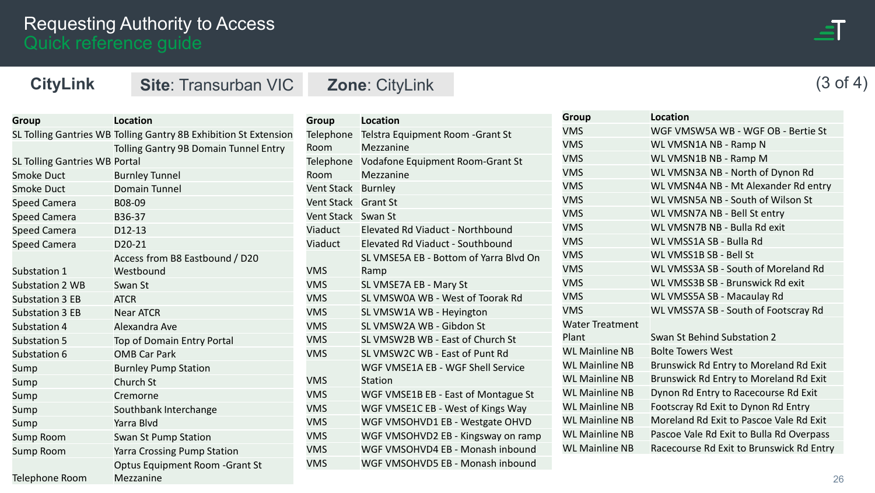

(3 of 4)

**CityLink Site**: Transurban VIC **Zone**: CityLink

| Group                                | <b>Location</b>                                                  |
|--------------------------------------|------------------------------------------------------------------|
|                                      | SL Tolling Gantries WB Tolling Gantry 8B Exhibition St Extension |
|                                      | Tolling Gantry 9B Domain Tunnel Entry                            |
| <b>SL Tolling Gantries WB Portal</b> |                                                                  |
| Smoke Duct                           | <b>Burnley Tunnel</b>                                            |
| <b>Smoke Duct</b>                    | Domain Tunnel                                                    |
| Speed Camera                         | B08-09                                                           |
| <b>Speed Camera</b>                  | B36-37                                                           |
| Speed Camera                         | D12-13                                                           |
| <b>Speed Camera</b>                  | D20-21                                                           |
|                                      | Access from B8 Eastbound / D20                                   |
| Substation 1                         | Westbound                                                        |
| <b>Substation 2 WB</b>               | Swan St                                                          |
| <b>Substation 3 EB</b>               | <b>ATCR</b>                                                      |
| <b>Substation 3 EB</b>               | <b>Near ATCR</b>                                                 |
| Substation 4                         | Alexandra Ave                                                    |
| <b>Substation 5</b>                  | Top of Domain Entry Portal                                       |
| Substation 6                         | <b>OMB Car Park</b>                                              |
| Sump                                 | <b>Burnley Pump Station</b>                                      |
| Sump                                 | Church St                                                        |
| Sump                                 | Cremorne                                                         |
| Sump                                 | Southbank Interchange                                            |
| Sump                                 | Yarra Blvd                                                       |
| Sump Room                            | Swan St Pump Station                                             |
| Sump Room                            | <b>Yarra Crossing Pump Station</b>                               |
|                                      | <b>Optus Equipment Room - Grant St</b>                           |
| Telephone Room                       | Mezzanine                                                        |

| <b>Location</b>                        |
|----------------------------------------|
| Telstra Equipment Room - Grant St      |
| Mezzanine                              |
| Vodafone Equipment Room-Grant St       |
| Mezzanine                              |
| Vent Stack Burnley                     |
| <b>Grant St</b>                        |
| Swan St                                |
| Elevated Rd Viaduct - Northbound       |
| Elevated Rd Viaduct - Southbound       |
| SL VMSE5A EB - Bottom of Yarra Blyd On |
| Ramp                                   |
| SL VMSE7A EB - Mary St                 |
| SL VMSW0A WB - West of Toorak Rd       |
| SL VMSW1A WB - Heyington               |
| SL VMSW2A WB - Gibdon St               |
| SL VMSW2B WB - East of Church St       |
| SL VMSW2C WB - East of Punt Rd         |
| WGF VMSE1A EB - WGF Shell Service      |
| <b>Station</b>                         |
| WGF VMSE1B EB - East of Montague St    |
| WGF VMSE1C EB - West of Kings Way      |
| WGF VMSOHVD1 EB - Westgate OHVD        |
| WGF VMSOHVD2 EB - Kingsway on ramp     |
| WGF VMSOHVD4 EB - Monash inbound       |
| WGF VMSOHVD5 EB - Monash inbound       |
|                                        |

| <b>Group</b>           | Location                                 |
|------------------------|------------------------------------------|
| <b>VMS</b>             | WGF VMSW5A WB - WGF OB - Bertie St       |
| <b>VMS</b>             | WL VMSN1A NB - Ramp N                    |
| <b>VMS</b>             | WL VMSN1B NB - Ramp M                    |
| <b>VMS</b>             | WL VMSN3A NB - North of Dynon Rd         |
| <b>VMS</b>             | WL VMSN4A NB - Mt Alexander Rd entry     |
| <b>VMS</b>             | WL VMSN5A NB - South of Wilson St        |
| <b>VMS</b>             | WL VMSN7A NB - Bell St entry             |
| <b>VMS</b>             | WL VMSN7B NB - Bulla Rd exit             |
| <b>VMS</b>             | WL VMSS1A SB - Bulla Rd                  |
| <b>VMS</b>             | WL VMSS1B SB - Bell St                   |
| <b>VMS</b>             | WL VMSS3A SB - South of Moreland Rd      |
| <b>VMS</b>             | WL VMSS3B SB - Brunswick Rd exit         |
| <b>VMS</b>             | WL VMSS5A SB - Macaulay Rd               |
| <b>VMS</b>             | WL VMSS7A SB - South of Footscray Rd     |
| <b>Water Treatment</b> |                                          |
| Plant                  | Swan St Behind Substation 2              |
| <b>WL Mainline NB</b>  | <b>Bolte Towers West</b>                 |
| <b>WL Mainline NB</b>  | Brunswick Rd Entry to Moreland Rd Exit   |
| <b>WL Mainline NB</b>  | Brunswick Rd Entry to Moreland Rd Exit   |
| <b>WL Mainline NB</b>  | Dynon Rd Entry to Racecourse Rd Exit     |
| <b>WL Mainline NB</b>  | Footscray Rd Exit to Dynon Rd Entry      |
| <b>WL Mainline NB</b>  | Moreland Rd Exit to Pascoe Vale Rd Exit  |
| <b>WL Mainline NB</b>  | Pascoe Vale Rd Exit to Bulla Rd Overpass |
| <b>WL Mainline NB</b>  | Racecourse Rd Exit to Brunswick Rd Entry |